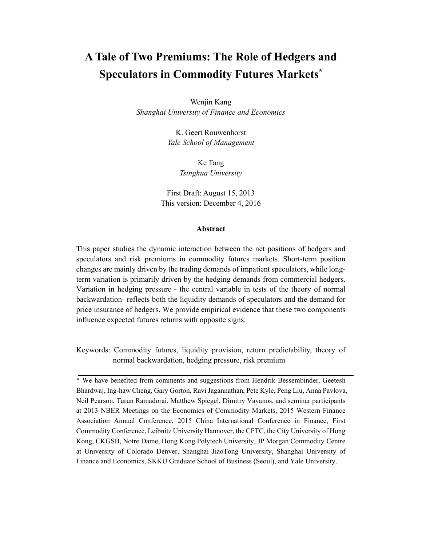# **A Tale of Two Premiums: The Role of Hedgers and Speculators in Commodity Futures Markets\***

Wenjin Kang *Shanghai University of Finance and Economics*

> K. Geert Rouwenhorst *Yale School of Management*

> > Ke Tang *Tsinghua University*

First Draft: August 15, 2013 This version: December 4, 2016

## **Abstract**

This paper studies the dynamic interaction between the net positions of hedgers and speculators and risk premiums in commodity futures markets. Short-term position changes are mainly driven by the trading demands of impatient speculators, while longterm variation is primarily driven by the hedging demands from commercial hedgers. Variation in hedging pressure - the central variable in tests of the theory of normal backwardation- reflects both the liquidity demands of speculators and the demand for price insurance of hedgers. We provide empirical evidence that these two components influence expected futures returns with opposite signs.

Keywords: Commodity futures, liquidity provision, return predictability, theory of normal backwardation, hedging pressure, risk premium

\* We have benefited from comments and suggestions from Hendrik Bessembinder, Geetesh Bhardwaj, Ing-haw Cheng, Gary Gorton, Ravi Jagannathan, Pete Kyle, Peng Liu, Anna Pavlova, Neil Pearson, Tarun Ramadorai, Matthew Spiegel, Dimitry Vayanos, and seminar participants at 2013 NBER Meetings on the Economics of Commodity Markets, 2015 Western Finance Association Annual Conference, 2015 China International Conference in Finance, First Commodity Conference, Leibnitz University Hannover, the CFTC, the City University of Hong Kong, CKGSB, Notre Dame, Hong Kong Polytech University, JP Morgan Commodity Centre at University of Colorado Denver, Shanghai JiaoTong University, Shanghai University of Finance and Economics, SKKU Graduate School of Business (Seoul), and Yale University.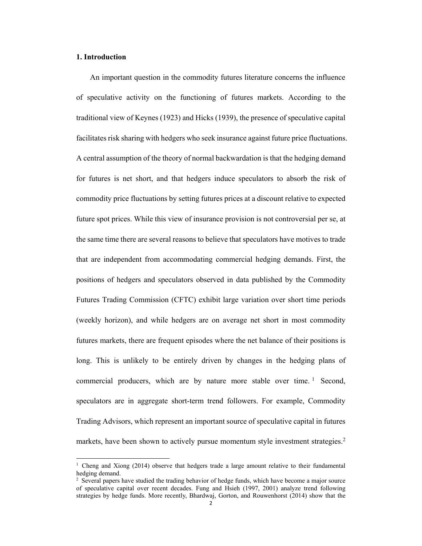# **1. Introduction**

An important question in the commodity futures literature concerns the influence of speculative activity on the functioning of futures markets. According to the traditional view of Keynes (1923) and Hicks (1939), the presence of speculative capital facilitates risk sharing with hedgers who seek insurance against future price fluctuations. A central assumption of the theory of normal backwardation is that the hedging demand for futures is net short, and that hedgers induce speculators to absorb the risk of commodity price fluctuations by setting futures prices at a discount relative to expected future spot prices. While this view of insurance provision is not controversial per se, at the same time there are several reasons to believe that speculators have motives to trade that are independent from accommodating commercial hedging demands. First, the positions of hedgers and speculators observed in data published by the Commodity Futures Trading Commission (CFTC) exhibit large variation over short time periods (weekly horizon), and while hedgers are on average net short in most commodity futures markets, there are frequent episodes where the net balance of their positions is long. This is unlikely to be entirely driven by changes in the hedging plans of commercial producers, which are by nature more stable over time.  $\frac{1}{1}$  Second, speculators are in aggregate short-term trend followers. For example, Commodity Trading Advisors, which represent an important source of speculative capital in futures markets, have been shown to actively pursue momentum style investment strategies.<sup>2</sup>

<sup>1</sup> Cheng and Xiong (2014) observe that hedgers trade a large amount relative to their fundamental hedging demand.

<sup>&</sup>lt;sup>2</sup> Several papers have studied the trading behavior of hedge funds, which have become a major source of speculative capital over recent decades. Fung and Hsieh (1997, 2001) analyze trend following strategies by hedge funds. More recently, Bhardwaj, Gorton, and Rouwenhorst (2014) show that the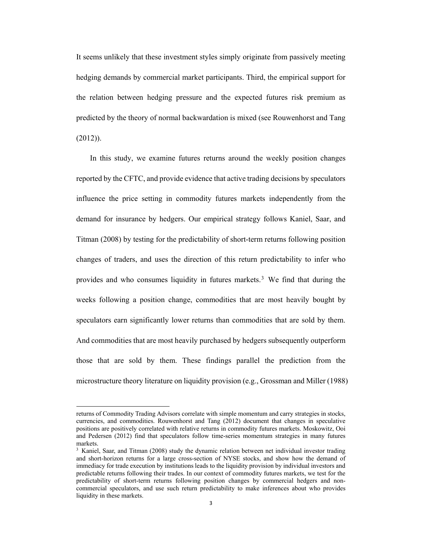It seems unlikely that these investment styles simply originate from passively meeting hedging demands by commercial market participants. Third, the empirical support for the relation between hedging pressure and the expected futures risk premium as predicted by the theory of normal backwardation is mixed (see Rouwenhorst and Tang (2012)).

In this study, we examine futures returns around the weekly position changes reported by the CFTC, and provide evidence that active trading decisions by speculators influence the price setting in commodity futures markets independently from the demand for insurance by hedgers. Our empirical strategy follows Kaniel, Saar, and Titman (2008) by testing for the predictability of short-term returns following position changes of traders, and uses the direction of this return predictability to infer who provides and who consumes liquidity in futures markets.<sup>3</sup> We find that during the weeks following a position change, commodities that are most heavily bought by speculators earn significantly lower returns than commodities that are sold by them. And commodities that are most heavily purchased by hedgers subsequently outperform those that are sold by them. These findings parallel the prediction from the microstructure theory literature on liquidity provision (e.g., Grossman and Miller (1988)

returns of Commodity Trading Advisors correlate with simple momentum and carry strategies in stocks, currencies, and commodities. Rouwenhorst and Tang (2012) document that changes in speculative positions are positively correlated with relative returns in commodity futures markets. Moskowitz, Ooi and Pedersen (2012) find that speculators follow time-series momentum strategies in many futures markets.

<sup>&</sup>lt;sup>3</sup> Kaniel, Saar, and Titman (2008) study the dynamic relation between net individual investor trading and short-horizon returns for a large cross-section of NYSE stocks, and show how the demand of immediacy for trade execution by institutions leads to the liquidity provision by individual investors and predictable returns following their trades. In our context of commodity futures markets, we test for the predictability of short-term returns following position changes by commercial hedgers and noncommercial speculators, and use such return predictability to make inferences about who provides liquidity in these markets.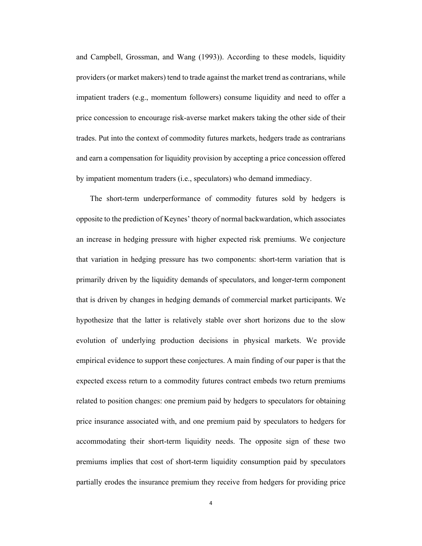and Campbell, Grossman, and Wang (1993)). According to these models, liquidity providers (or market makers) tend to trade against the market trend as contrarians, while impatient traders (e.g., momentum followers) consume liquidity and need to offer a price concession to encourage risk-averse market makers taking the other side of their trades. Put into the context of commodity futures markets, hedgers trade as contrarians and earn a compensation for liquidity provision by accepting a price concession offered by impatient momentum traders (i.e., speculators) who demand immediacy.

The short-term underperformance of commodity futures sold by hedgers is opposite to the prediction of Keynes' theory of normal backwardation, which associates an increase in hedging pressure with higher expected risk premiums. We conjecture that variation in hedging pressure has two components: short-term variation that is primarily driven by the liquidity demands of speculators, and longer-term component that is driven by changes in hedging demands of commercial market participants. We hypothesize that the latter is relatively stable over short horizons due to the slow evolution of underlying production decisions in physical markets. We provide empirical evidence to support these conjectures. A main finding of our paper is that the expected excess return to a commodity futures contract embeds two return premiums related to position changes: one premium paid by hedgers to speculators for obtaining price insurance associated with, and one premium paid by speculators to hedgers for accommodating their short-term liquidity needs. The opposite sign of these two premiums implies that cost of short-term liquidity consumption paid by speculators partially erodes the insurance premium they receive from hedgers for providing price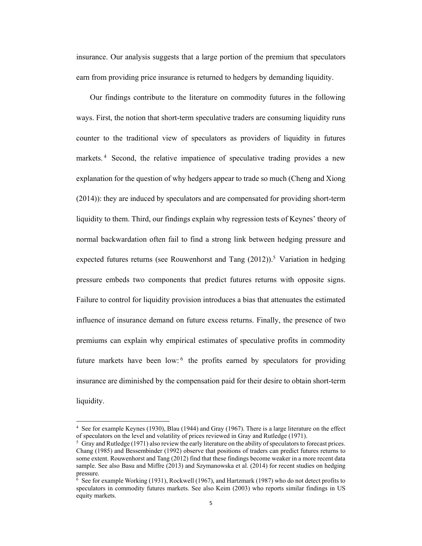insurance. Our analysis suggests that a large portion of the premium that speculators earn from providing price insurance is returned to hedgers by demanding liquidity.

Our findings contribute to the literature on commodity futures in the following ways. First, the notion that short-term speculative traders are consuming liquidity runs counter to the traditional view of speculators as providers of liquidity in futures markets.<sup>4</sup> Second, the relative impatience of speculative trading provides a new explanation for the question of why hedgers appear to trade so much (Cheng and Xiong (2014)): they are induced by speculators and are compensated for providing short-term liquidity to them. Third, our findings explain why regression tests of Keynes' theory of normal backwardation often fail to find a strong link between hedging pressure and expected futures returns (see Rouwenhorst and Tang  $(2012)$ ).<sup>5</sup> Variation in hedging pressure embeds two components that predict futures returns with opposite signs. Failure to control for liquidity provision introduces a bias that attenuates the estimated influence of insurance demand on future excess returns. Finally, the presence of two premiums can explain why empirical estimates of speculative profits in commodity future markets have been low:  $6$  the profits earned by speculators for providing insurance are diminished by the compensation paid for their desire to obtain short-term liquidity.

<sup>4</sup> See for example Keynes (1930), Blau (1944) and Gray (1967). There is a large literature on the effect of speculators on the level and volatility of prices reviewed in Gray and Rutledge (1971).

<sup>5</sup> Gray and Rutledge (1971) also review the early literature on the ability of speculators to forecast prices. Chang (1985) and Bessembinder (1992) observe that positions of traders can predict futures returns to some extent. Rouwenhorst and Tang (2012) find that these findings become weaker in a more recent data sample. See also Basu and Miffre (2013) and Szymanowska et al. (2014) for recent studies on hedging pressure.

<sup>6</sup> See for example Working (1931), Rockwell (1967), and Hartzmark (1987) who do not detect profits to speculators in commodity futures markets. See also Keim (2003) who reports similar findings in US equity markets.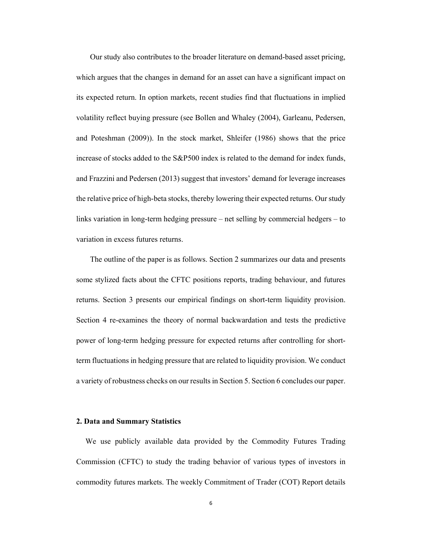Our study also contributes to the broader literature on demand-based asset pricing, which argues that the changes in demand for an asset can have a significant impact on its expected return. In option markets, recent studies find that fluctuations in implied volatility reflect buying pressure (see Bollen and Whaley (2004), Garleanu, Pedersen, and Poteshman (2009)). In the stock market, Shleifer (1986) shows that the price increase of stocks added to the S&P500 index is related to the demand for index funds, and Frazzini and Pedersen (2013) suggest that investors' demand for leverage increases the relative price of high-beta stocks, thereby lowering their expected returns. Our study links variation in long-term hedging pressure – net selling by commercial hedgers – to variation in excess futures returns.

The outline of the paper is as follows. Section 2 summarizes our data and presents some stylized facts about the CFTC positions reports, trading behaviour, and futures returns. Section 3 presents our empirical findings on short-term liquidity provision. Section 4 re-examines the theory of normal backwardation and tests the predictive power of long-term hedging pressure for expected returns after controlling for shortterm fluctuations in hedging pressure that are related to liquidity provision. We conduct a variety of robustness checks on our results in Section 5. Section 6 concludes our paper.

#### **2. Data and Summary Statistics**

We use publicly available data provided by the Commodity Futures Trading Commission (CFTC) to study the trading behavior of various types of investors in commodity futures markets. The weekly Commitment of Trader (COT) Report details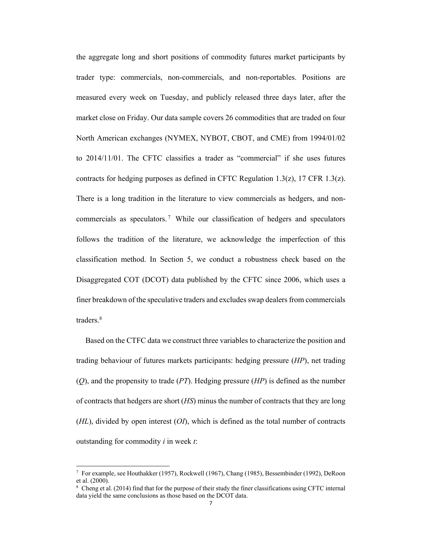the aggregate long and short positions of commodity futures market participants by trader type: commercials, non-commercials, and non-reportables. Positions are measured every week on Tuesday, and publicly released three days later, after the market close on Friday. Our data sample covers 26 commodities that are traded on four North American exchanges (NYMEX, NYBOT, CBOT, and CME) from 1994/01/02 to 2014/11/01. The CFTC classifies a trader as "commercial" if she uses futures contracts for hedging purposes as defined in CFTC Regulation 1.3(z), 17 CFR 1.3(z). There is a long tradition in the literature to view commercials as hedgers, and noncommercials as speculators.<sup>7</sup> While our classification of hedgers and speculators follows the tradition of the literature, we acknowledge the imperfection of this classification method. In Section 5, we conduct a robustness check based on the Disaggregated COT (DCOT) data published by the CFTC since 2006, which uses a finer breakdown of the speculative traders and excludes swap dealers from commercials traders<sup>8</sup>

Based on the CTFC data we construct three variables to characterize the position and trading behaviour of futures markets participants: hedging pressure (*HP*), net trading (*Q*), and the propensity to trade (*PT*). Hedging pressure (*HP*) is defined as the number of contracts that hedgers are short (*HS*) minus the number of contracts that they are long (*HL*), divided by open interest (*OI*), which is defined as the total number of contracts outstanding for commodity *i* in week *t*:

<sup>7</sup> For example, see Houthakker (1957), Rockwell (1967), Chang (1985), Bessembinder (1992), DeRoon et al. (2000).

<sup>8</sup> Cheng et al. (2014) find that for the purpose of their study the finer classifications using CFTC internal data yield the same conclusions as those based on the DCOT data.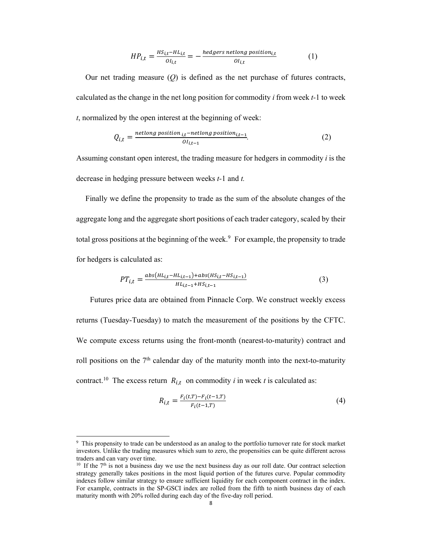$$
HP_{i,t} = \frac{HS_{i,t} - HL_{i,t}}{O_{i,t}} = -\frac{hedges\text{ }netlong\text{ }position_{i,t}}{O_{i,t}}
$$
(1)

Our net trading measure  $(O)$  is defined as the net purchase of futures contracts, calculated as the change in the net long position for commodity *i* from week *t-*1 to week *t*, normalized by the open interest at the beginning of week:

$$
Q_{i,t} = \frac{netlong position_{i,t} - netlong position_{i,t-1}}{OI_{i,t-1}}.
$$
 (2)

Assuming constant open interest, the trading measure for hedgers in commodity *i* is the decrease in hedging pressure between weeks *t-*1 and *t.*

Finally we define the propensity to trade as the sum of the absolute changes of the aggregate long and the aggregate short positions of each trader category, scaled by their total gross positions at the beginning of the week.<sup>9</sup> For example, the propensity to trade for hedgers is calculated as:

$$
PT_{i,t} = \frac{abs(H_{i,t} - HL_{i,t-1}) + abs(HS_{i,t} - HS_{i,t-1})}{HL_{i,t-1} + HS_{i,t-1}}
$$
(3)

Futures price data are obtained from Pinnacle Corp. We construct weekly excess returns (Tuesday-Tuesday) to match the measurement of the positions by the CFTC. We compute excess returns using the front-month (nearest-to-maturity) contract and roll positions on the  $7<sup>th</sup>$  calendar day of the maturity month into the next-to-maturity contract.<sup>10</sup> The excess return  $R_{i,t}$  on commodity *i* in week *t* is calculated as:

$$
R_{i,t} = \frac{F_i(t,T) - F_i(t-1,T)}{F_i(t-1,T)}
$$
\n(4)

<sup>9</sup> This propensity to trade can be understood as an analog to the portfolio turnover rate for stock market investors. Unlike the trading measures which sum to zero, the propensities can be quite different across traders and can vary over time.

 $10$  If the 7<sup>th</sup> is not a business day we use the next business day as our roll date. Our contract selection strategy generally takes positions in the most liquid portion of the futures curve. Popular commodity indexes follow similar strategy to ensure sufficient liquidity for each component contract in the index. For example, contracts in the SP-GSCI index are rolled from the fifth to ninth business day of each maturity month with 20% rolled during each day of the five-day roll period.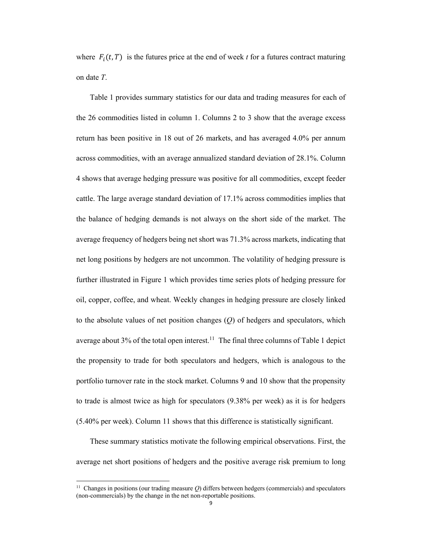where  $F_i(t, T)$  is the futures price at the end of week *t* for a futures contract maturing on date *T*.

Table 1 provides summary statistics for our data and trading measures for each of the 26 commodities listed in column 1. Columns 2 to 3 show that the average excess return has been positive in 18 out of 26 markets, and has averaged 4.0% per annum across commodities, with an average annualized standard deviation of 28.1%. Column 4 shows that average hedging pressure was positive for all commodities, except feeder cattle. The large average standard deviation of 17.1% across commodities implies that the balance of hedging demands is not always on the short side of the market. The average frequency of hedgers being net short was 71.3% across markets, indicating that net long positions by hedgers are not uncommon. The volatility of hedging pressure is further illustrated in Figure 1 which provides time series plots of hedging pressure for oil, copper, coffee, and wheat. Weekly changes in hedging pressure are closely linked to the absolute values of net position changes (*Q*) of hedgers and speculators, which average about  $3\%$  of the total open interest.<sup>11</sup> The final three columns of Table 1 depict the propensity to trade for both speculators and hedgers, which is analogous to the portfolio turnover rate in the stock market. Columns 9 and 10 show that the propensity to trade is almost twice as high for speculators (9.38% per week) as it is for hedgers (5.40% per week). Column 11 shows that this difference is statistically significant.

These summary statistics motivate the following empirical observations. First, the average net short positions of hedgers and the positive average risk premium to long

<sup>11</sup> Changes in positions (our trading measure *Q*) differs between hedgers (commercials) and speculators (non-commercials) by the change in the net non-reportable positions.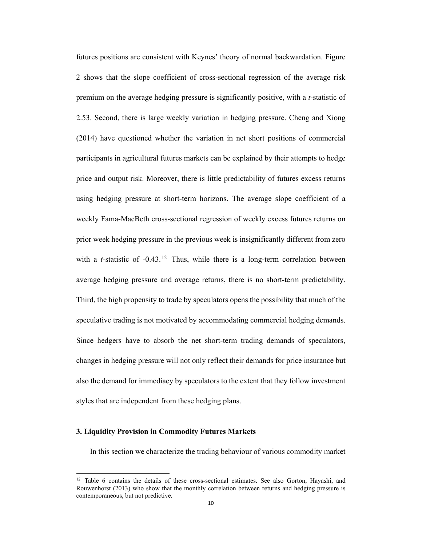futures positions are consistent with Keynes' theory of normal backwardation. Figure 2 shows that the slope coefficient of cross-sectional regression of the average risk premium on the average hedging pressure is significantly positive, with a *t*-statistic of 2.53. Second, there is large weekly variation in hedging pressure. Cheng and Xiong (2014) have questioned whether the variation in net short positions of commercial participants in agricultural futures markets can be explained by their attempts to hedge price and output risk. Moreover, there is little predictability of futures excess returns using hedging pressure at short-term horizons. The average slope coefficient of a weekly Fama-MacBeth cross-sectional regression of weekly excess futures returns on prior week hedging pressure in the previous week is insignificantly different from zero with a *t*-statistic of -0.43.<sup>12</sup> Thus, while there is a long-term correlation between average hedging pressure and average returns, there is no short-term predictability. Third, the high propensity to trade by speculators opens the possibility that much of the speculative trading is not motivated by accommodating commercial hedging demands. Since hedgers have to absorb the net short-term trading demands of speculators, changes in hedging pressure will not only reflect their demands for price insurance but also the demand for immediacy by speculators to the extent that they follow investment styles that are independent from these hedging plans.

# **3. Liquidity Provision in Commodity Futures Markets**

In this section we characterize the trading behaviour of various commodity market

<sup>&</sup>lt;sup>12</sup> Table 6 contains the details of these cross-sectional estimates. See also Gorton, Hayashi, and Rouwenhorst (2013) who show that the monthly correlation between returns and hedging pressure is contemporaneous, but not predictive.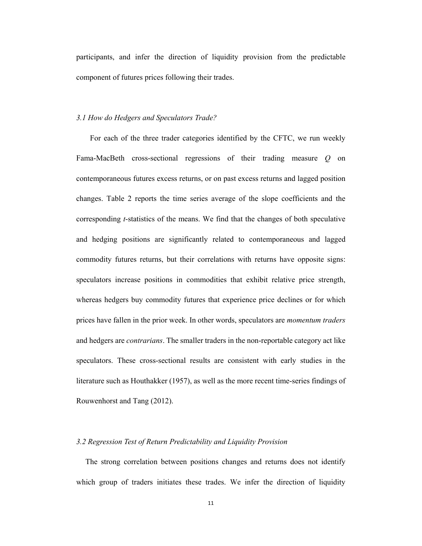participants, and infer the direction of liquidity provision from the predictable component of futures prices following their trades.

# *3.1 How do Hedgers and Speculators Trade?*

For each of the three trader categories identified by the CFTC, we run weekly Fama-MacBeth cross-sectional regressions of their trading measure *Q* on contemporaneous futures excess returns, or on past excess returns and lagged position changes. Table 2 reports the time series average of the slope coefficients and the corresponding *t*-statistics of the means. We find that the changes of both speculative and hedging positions are significantly related to contemporaneous and lagged commodity futures returns, but their correlations with returns have opposite signs: speculators increase positions in commodities that exhibit relative price strength, whereas hedgers buy commodity futures that experience price declines or for which prices have fallen in the prior week. In other words, speculators are *momentum traders* and hedgers are *contrarians*. The smaller traders in the non-reportable category act like speculators. These cross-sectional results are consistent with early studies in the literature such as Houthakker (1957), as well as the more recent time-series findings of Rouwenhorst and Tang (2012).

## *3.2 Regression Test of Return Predictability and Liquidity Provision*

The strong correlation between positions changes and returns does not identify which group of traders initiates these trades. We infer the direction of liquidity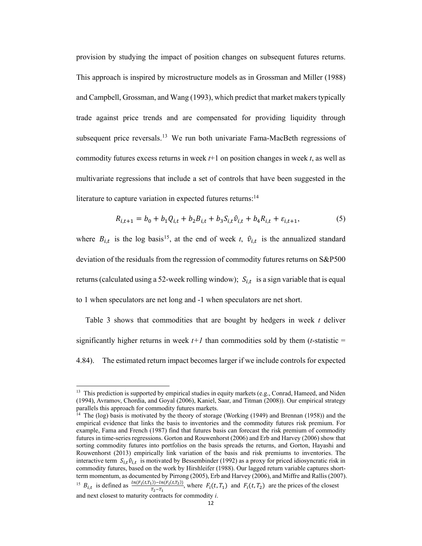provision by studying the impact of position changes on subsequent futures returns. This approach is inspired by microstructure models as in Grossman and Miller (1988) and Campbell, Grossman, and Wang (1993), which predict that market makers typically trade against price trends and are compensated for providing liquidity through subsequent price reversals.<sup>13</sup> We run both univariate Fama-MacBeth regressions of commodity futures excess returns in week *t*+1 on position changes in week *t*, as well as multivariate regressions that include a set of controls that have been suggested in the literature to capture variation in expected futures returns:<sup>14</sup>

$$
R_{i,t+1} = b_0 + b_1 Q_{i,t} + b_2 B_{i,t} + b_3 S_{i,t} \hat{v}_{i,t} + b_4 R_{i,t} + \varepsilon_{i,t+1},
$$
\n(5)

where  $B_{i,t}$  is the log basis<sup>15</sup>, at the end of week *t*,  $\hat{v}_{i,t}$  is the annualized standard deviation of the residuals from the regression of commodity futures returns on S&P500 returns (calculated using a 52-week rolling window);  $S_{i,t}$  is a sign variable that is equal to 1 when speculators are net long and -1 when speculators are net short.

Table 3 shows that commodities that are bought by hedgers in week *t* deliver significantly higher returns in week  $t+1$  than commodities sold by them (*t*-statistic = 4.84). The estimated return impact becomes larger if we include controls for expected

<sup>&</sup>lt;sup>13</sup> This prediction is supported by empirical studies in equity markets (e.g., Conrad, Hameed, and Niden (1994), Avramov, Chordia, and Goyal (2006), Kaniel, Saar, and Titman (2008)). Our empirical strategy parallels this approach for commodity futures markets.

<sup>&</sup>lt;sup>14</sup> The (log) basis is motivated by the theory of storage (Working (1949) and Brennan (1958)) and the empirical evidence that links the basis to inventories and the commodity futures risk premium. For example, Fama and French (1987) find that futures basis can forecast the risk premium of commodity futures in time-series regressions. Gorton and Rouwenhorst (2006) and Erb and Harvey (2006) show that sorting commodity futures into portfolios on the basis spreads the returns, and Gorton, Hayashi and Rouwenhorst (2013) empirically link variation of the basis and risk premiums to inventories. The interactive term  $S_{i,t} \hat{v}_{i,t}$  is motivated by Bessembinder (1992) as a proxy for priced idiosyncratic risk in commodity futures, based on the work by Hirshleifer (1988). Our lagged return variable captures shortterm momentum, as documented by Pirrong (2005), Erb and Harvey (2006), and Miffre and Rallis (2007). <sup>15</sup>  $B_{i,t}$  is defined as  $\frac{\ln(F_i(t,T_1)) - \ln(F_i(t,T_2))}{T_i - T_i}$ , where  $F_i(t,T_1)$  and  $F_i(t,T_2)$  are the prices of the closest  $T_2 - T_1$ and next closest to maturity contracts for commodity *i*.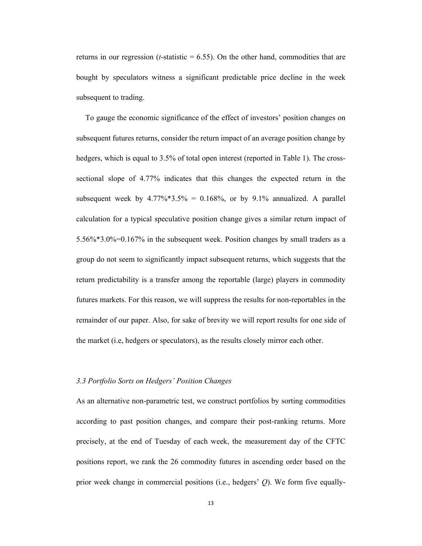returns in our regression ( $t$ -statistic =  $6.55$ ). On the other hand, commodities that are bought by speculators witness a significant predictable price decline in the week subsequent to trading.

To gauge the economic significance of the effect of investors' position changes on subsequent futures returns, consider the return impact of an average position change by hedgers, which is equal to 3.5% of total open interest (reported in Table 1). The crosssectional slope of 4.77% indicates that this changes the expected return in the subsequent week by  $4.77\%*3.5\% = 0.168\%$ , or by  $9.1\%$  annualized. A parallel calculation for a typical speculative position change gives a similar return impact of 5.56%\*3.0%=0.167% in the subsequent week. Position changes by small traders as a group do not seem to significantly impact subsequent returns, which suggests that the return predictability is a transfer among the reportable (large) players in commodity futures markets. For this reason, we will suppress the results for non-reportables in the remainder of our paper. Also, for sake of brevity we will report results for one side of the market (i.e, hedgers or speculators), as the results closely mirror each other.

## *3.3 Portfolio Sorts on Hedgers' Position Changes*

As an alternative non-parametric test, we construct portfolios by sorting commodities according to past position changes, and compare their post-ranking returns. More precisely, at the end of Tuesday of each week, the measurement day of the CFTC positions report, we rank the 26 commodity futures in ascending order based on the prior week change in commercial positions (i.e., hedgers' *Q*). We form five equally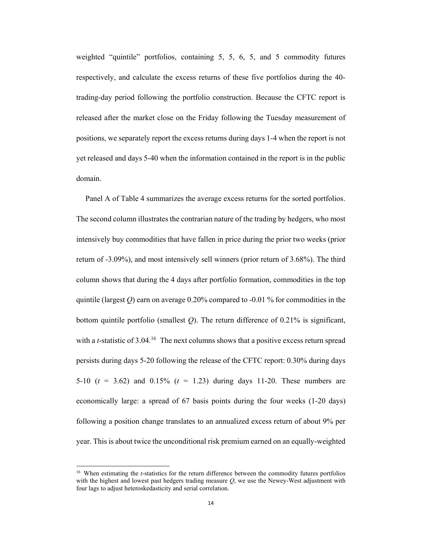weighted "quintile" portfolios, containing 5, 5, 6, 5, and 5 commodity futures respectively, and calculate the excess returns of these five portfolios during the 40 trading-day period following the portfolio construction. Because the CFTC report is released after the market close on the Friday following the Tuesday measurement of positions, we separately report the excess returns during days 1-4 when the report is not yet released and days 5-40 when the information contained in the report is in the public domain.

Panel A of Table 4 summarizes the average excess returns for the sorted portfolios. The second column illustrates the contrarian nature of the trading by hedgers, who most intensively buy commodities that have fallen in price during the prior two weeks (prior return of -3.09%), and most intensively sell winners (prior return of 3.68%). The third column shows that during the 4 days after portfolio formation, commodities in the top quintile (largest  $Q$ ) earn on average 0.20% compared to -0.01 % for commodities in the bottom quintile portfolio (smallest *Q*). The return difference of 0.21% is significant, with a *t*-statistic of 3.04.<sup>16</sup> The next columns shows that a positive excess return spread persists during days 5-20 following the release of the CFTC report: 0.30% during days 5-10  $(t = 3.62)$  and 0.15%  $(t = 1.23)$  during days 11-20. These numbers are economically large: a spread of 67 basis points during the four weeks (1-20 days) following a position change translates to an annualized excess return of about 9% per year. This is about twice the unconditional risk premium earned on an equally-weighted

<sup>16</sup> When estimating the *t*-statistics for the return difference between the commodity futures portfolios with the highest and lowest past hedgers trading measure *Q*, we use the Newey-West adjustment with four lags to adjust heteroskedasticity and serial correlation.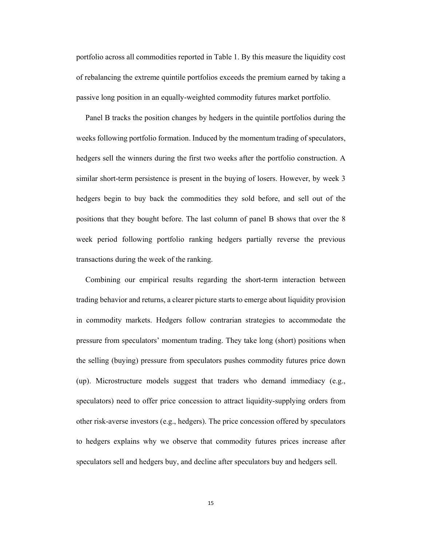portfolio across all commodities reported in Table 1. By this measure the liquidity cost of rebalancing the extreme quintile portfolios exceeds the premium earned by taking a passive long position in an equally-weighted commodity futures market portfolio.

Panel B tracks the position changes by hedgers in the quintile portfolios during the weeks following portfolio formation. Induced by the momentum trading of speculators, hedgers sell the winners during the first two weeks after the portfolio construction. A similar short-term persistence is present in the buying of losers. However, by week 3 hedgers begin to buy back the commodities they sold before, and sell out of the positions that they bought before. The last column of panel B shows that over the 8 week period following portfolio ranking hedgers partially reverse the previous transactions during the week of the ranking.

Combining our empirical results regarding the short-term interaction between trading behavior and returns, a clearer picture starts to emerge about liquidity provision in commodity markets. Hedgers follow contrarian strategies to accommodate the pressure from speculators' momentum trading. They take long (short) positions when the selling (buying) pressure from speculators pushes commodity futures price down (up). Microstructure models suggest that traders who demand immediacy (e.g., speculators) need to offer price concession to attract liquidity-supplying orders from other risk-averse investors (e.g., hedgers). The price concession offered by speculators to hedgers explains why we observe that commodity futures prices increase after speculators sell and hedgers buy, and decline after speculators buy and hedgers sell.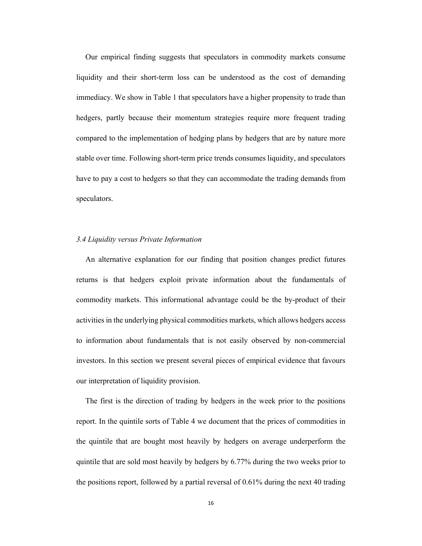Our empirical finding suggests that speculators in commodity markets consume liquidity and their short-term loss can be understood as the cost of demanding immediacy. We show in Table 1 that speculators have a higher propensity to trade than hedgers, partly because their momentum strategies require more frequent trading compared to the implementation of hedging plans by hedgers that are by nature more stable over time. Following short-term price trends consumes liquidity, and speculators have to pay a cost to hedgers so that they can accommodate the trading demands from speculators.

# *3.4 Liquidity versus Private Information*

An alternative explanation for our finding that position changes predict futures returns is that hedgers exploit private information about the fundamentals of commodity markets. This informational advantage could be the by-product of their activities in the underlying physical commodities markets, which allows hedgers access to information about fundamentals that is not easily observed by non-commercial investors. In this section we present several pieces of empirical evidence that favours our interpretation of liquidity provision.

The first is the direction of trading by hedgers in the week prior to the positions report. In the quintile sorts of Table 4 we document that the prices of commodities in the quintile that are bought most heavily by hedgers on average underperform the quintile that are sold most heavily by hedgers by 6.77% during the two weeks prior to the positions report, followed by a partial reversal of 0.61% during the next 40 trading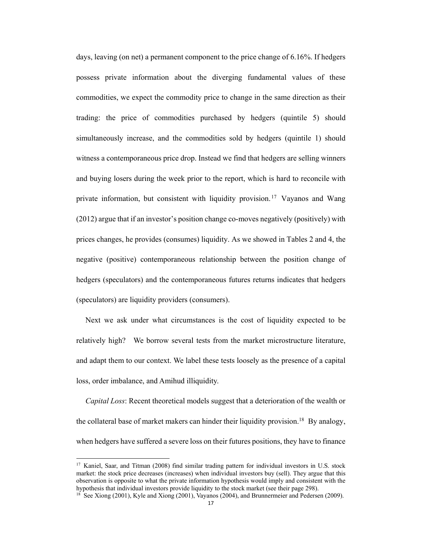days, leaving (on net) a permanent component to the price change of 6.16%. If hedgers possess private information about the diverging fundamental values of these commodities, we expect the commodity price to change in the same direction as their trading: the price of commodities purchased by hedgers (quintile 5) should simultaneously increase, and the commodities sold by hedgers (quintile 1) should witness a contemporaneous price drop. Instead we find that hedgers are selling winners and buying losers during the week prior to the report, which is hard to reconcile with private information, but consistent with liquidity provision.<sup>17</sup> Vayanos and Wang (2012) argue that if an investor's position change co-moves negatively (positively) with prices changes, he provides (consumes) liquidity. As we showed in Tables 2 and 4, the negative (positive) contemporaneous relationship between the position change of hedgers (speculators) and the contemporaneous futures returns indicates that hedgers (speculators) are liquidity providers (consumers).

Next we ask under what circumstances is the cost of liquidity expected to be relatively high? We borrow several tests from the market microstructure literature, and adapt them to our context. We label these tests loosely as the presence of a capital loss, order imbalance, and Amihud illiquidity.

*Capital Loss*: Recent theoretical models suggest that a deterioration of the wealth or the collateral base of market makers can hinder their liquidity provision.<sup>18</sup> By analogy, when hedgers have suffered a severe loss on their futures positions, they have to finance

<sup>17</sup> Kaniel, Saar, and Titman (2008) find similar trading pattern for individual investors in U.S. stock market: the stock price decreases (increases) when individual investors buy (sell). They argue that this observation is opposite to what the private information hypothesis would imply and consistent with the hypothesis that individual investors provide liquidity to the stock market (see their page 298).

<sup>&</sup>lt;sup>18</sup> See Xiong (2001), Kyle and Xiong (2001), Vayanos (2004), and Brunnermeier and Pedersen (2009).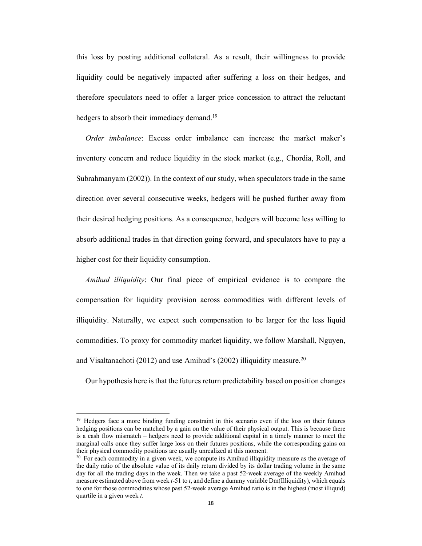this loss by posting additional collateral. As a result, their willingness to provide liquidity could be negatively impacted after suffering a loss on their hedges, and therefore speculators need to offer a larger price concession to attract the reluctant hedgers to absorb their immediacy demand.<sup>19</sup>

*Order imbalance*: Excess order imbalance can increase the market maker's inventory concern and reduce liquidity in the stock market (e.g., Chordia, Roll, and Subrahmanyam (2002)). In the context of our study, when speculators trade in the same direction over several consecutive weeks, hedgers will be pushed further away from their desired hedging positions. As a consequence, hedgers will become less willing to absorb additional trades in that direction going forward, and speculators have to pay a higher cost for their liquidity consumption.

*Amihud illiquidity*: Our final piece of empirical evidence is to compare the compensation for liquidity provision across commodities with different levels of illiquidity. Naturally, we expect such compensation to be larger for the less liquid commodities. To proxy for commodity market liquidity, we follow Marshall, Nguyen, and Visaltanachoti (2012) and use Amihud's (2002) illiquidity measure.20

Our hypothesis here is that the futures return predictability based on position changes

<sup>&</sup>lt;sup>19</sup> Hedgers face a more binding funding constraint in this scenario even if the loss on their futures hedging positions can be matched by a gain on the value of their physical output. This is because there is a cash flow mismatch – hedgers need to provide additional capital in a timely manner to meet the marginal calls once they suffer large loss on their futures positions, while the corresponding gains on their physical commodity positions are usually unrealized at this moment.

<sup>&</sup>lt;sup>20</sup> For each commodity in a given week, we compute its Amihud illiquidity measure as the average of the daily ratio of the absolute value of its daily return divided by its dollar trading volume in the same day for all the trading days in the week. Then we take a past 52-week average of the weekly Amihud measure estimated above from week *t*-51 to *t*, and define a dummy variable Dm(Illiquidity), which equals to one for those commodities whose past 52-week average Amihud ratio is in the highest (most illiquid) quartile in a given week *t*.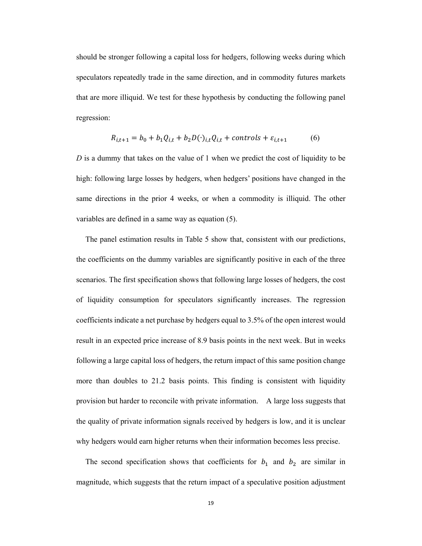should be stronger following a capital loss for hedgers, following weeks during which speculators repeatedly trade in the same direction, and in commodity futures markets that are more illiquid. We test for these hypothesis by conducting the following panel regression:

$$
R_{i,t+1} = b_0 + b_1 Q_{i,t} + b_2 D(\cdot)_{i,t} Q_{i,t} + \text{controls} + \varepsilon_{i,t+1} \tag{6}
$$

*D* is a dummy that takes on the value of 1 when we predict the cost of liquidity to be high: following large losses by hedgers, when hedgers' positions have changed in the same directions in the prior 4 weeks, or when a commodity is illiquid. The other variables are defined in a same way as equation (5).

The panel estimation results in Table 5 show that, consistent with our predictions, the coefficients on the dummy variables are significantly positive in each of the three scenarios. The first specification shows that following large losses of hedgers, the cost of liquidity consumption for speculators significantly increases. The regression coefficients indicate a net purchase by hedgers equal to 3.5% of the open interest would result in an expected price increase of 8.9 basis points in the next week. But in weeks following a large capital loss of hedgers, the return impact of this same position change more than doubles to 21.2 basis points. This finding is consistent with liquidity provision but harder to reconcile with private information. A large loss suggests that the quality of private information signals received by hedgers is low, and it is unclear why hedgers would earn higher returns when their information becomes less precise.

The second specification shows that coefficients for  $b_1$  and  $b_2$  are similar in magnitude, which suggests that the return impact of a speculative position adjustment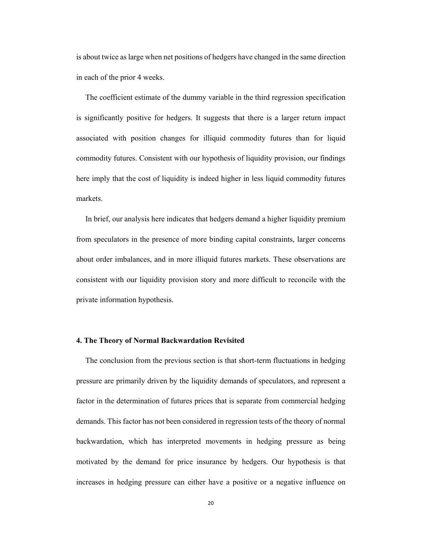is about twice as large when net positions of hedgers have changed in the same direction in each of the prior 4 weeks.

The coefficient estimate of the dummy variable in the third regression specification is significantly positive for hedgers. It suggests that there is a larger return impact associated with position changes for illiquid commodity futures than for liquid commodity futures. Consistent with our hypothesis of liquidity provision, our findings here imply that the cost of liquidity is indeed higher in less liquid commodity futures markets.

In brief, our analysis here indicates that hedgers demand a higher liquidity premium from speculators in the presence of more binding capital constraints, larger concerns about order imbalances, and in more illiquid futures markets. These observations are consistent with our liquidity provision story and more difficult to reconcile with the private information hypothesis.

# **4. The Theory of Normal Backwardation Revisited**

The conclusion from the previous section is that short-term fluctuations in hedging pressure are primarily driven by the liquidity demands of speculators, and represent a factor in the determination of futures prices that is separate from commercial hedging demands. This factor has not been considered in regression tests of the theory of normal backwardation, which has interpreted movements in hedging pressure as being motivated by the demand for price insurance by hedgers. Our hypothesis is that increases in hedging pressure can either have a positive or a negative influence on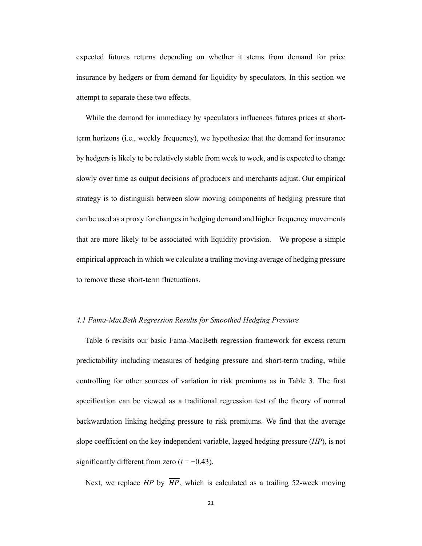expected futures returns depending on whether it stems from demand for price insurance by hedgers or from demand for liquidity by speculators. In this section we attempt to separate these two effects.

While the demand for immediacy by speculators influences futures prices at shortterm horizons (i.e., weekly frequency), we hypothesize that the demand for insurance by hedgers is likely to be relatively stable from week to week, and is expected to change slowly over time as output decisions of producers and merchants adjust. Our empirical strategy is to distinguish between slow moving components of hedging pressure that can be used as a proxy for changes in hedging demand and higher frequency movements that are more likely to be associated with liquidity provision. We propose a simple empirical approach in which we calculate a trailing moving average of hedging pressure to remove these short-term fluctuations.

# *4.1 Fama-MacBeth Regression Results for Smoothed Hedging Pressure*

Table 6 revisits our basic Fama-MacBeth regression framework for excess return predictability including measures of hedging pressure and short-term trading, while controlling for other sources of variation in risk premiums as in Table 3. The first specification can be viewed as a traditional regression test of the theory of normal backwardation linking hedging pressure to risk premiums. We find that the average slope coefficient on the key independent variable, lagged hedging pressure (*HP*), is not significantly different from zero  $(t = -0.43)$ .

Next, we replace *HP* by  $\overline{HP}$ , which is calculated as a trailing 52-week moving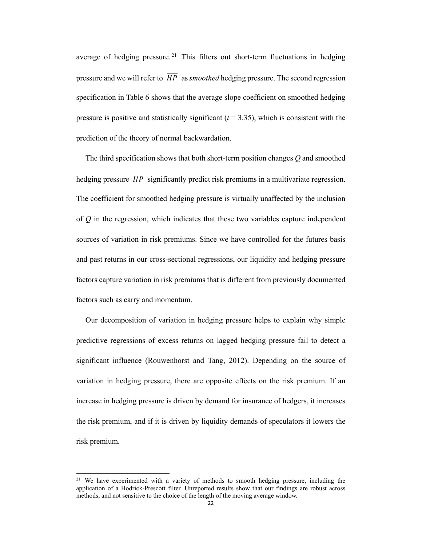average of hedging pressure.<sup>21</sup> This filters out short-term fluctuations in hedging pressure and we will refer to  $\overline{HP}$  as *smoothed* hedging pressure. The second regression specification in Table 6 shows that the average slope coefficient on smoothed hedging pressure is positive and statistically significant  $(t = 3.35)$ , which is consistent with the prediction of the theory of normal backwardation.

The third specification shows that both short-term position changes *Q* and smoothed hedging pressure  $\overline{HP}$  significantly predict risk premiums in a multivariate regression. The coefficient for smoothed hedging pressure is virtually unaffected by the inclusion of *Q* in the regression, which indicates that these two variables capture independent sources of variation in risk premiums. Since we have controlled for the futures basis and past returns in our cross-sectional regressions, our liquidity and hedging pressure factors capture variation in risk premiums that is different from previously documented factors such as carry and momentum.

Our decomposition of variation in hedging pressure helps to explain why simple predictive regressions of excess returns on lagged hedging pressure fail to detect a significant influence (Rouwenhorst and Tang, 2012). Depending on the source of variation in hedging pressure, there are opposite effects on the risk premium. If an increase in hedging pressure is driven by demand for insurance of hedgers, it increases the risk premium, and if it is driven by liquidity demands of speculators it lowers the risk premium.

<sup>&</sup>lt;sup>21</sup> We have experimented with a variety of methods to smooth hedging pressure, including the application of a Hodrick-Prescott filter. Unreported results show that our findings are robust across methods, and not sensitive to the choice of the length of the moving average window.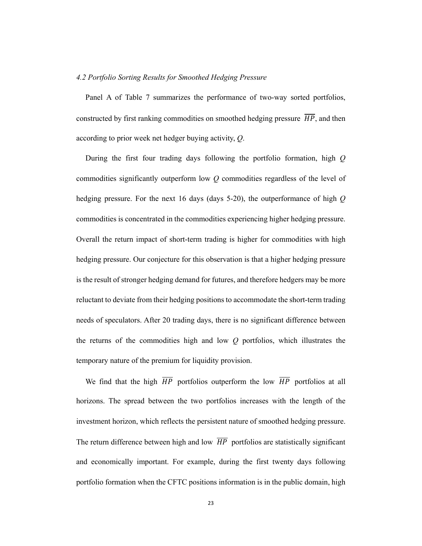#### *4.2 Portfolio Sorting Results for Smoothed Hedging Pressure*

Panel A of Table 7 summarizes the performance of two-way sorted portfolios, constructed by first ranking commodities on smoothed hedging pressure  $\overline{HP}$ , and then according to prior week net hedger buying activity, *Q*.

During the first four trading days following the portfolio formation, high *Q* commodities significantly outperform low *Q* commodities regardless of the level of hedging pressure. For the next 16 days (days 5-20), the outperformance of high *Q* commodities is concentrated in the commodities experiencing higher hedging pressure. Overall the return impact of short-term trading is higher for commodities with high hedging pressure. Our conjecture for this observation is that a higher hedging pressure is the result of stronger hedging demand for futures, and therefore hedgers may be more reluctant to deviate from their hedging positions to accommodate the short-term trading needs of speculators. After 20 trading days, there is no significant difference between the returns of the commodities high and low *Q* portfolios, which illustrates the temporary nature of the premium for liquidity provision.

We find that the high  $\overline{HP}$  portfolios outperform the low  $\overline{HP}$  portfolios at all horizons. The spread between the two portfolios increases with the length of the investment horizon, which reflects the persistent nature of smoothed hedging pressure. The return difference between high and low  $\overline{HP}$  portfolios are statistically significant and economically important. For example, during the first twenty days following portfolio formation when the CFTC positions information is in the public domain, high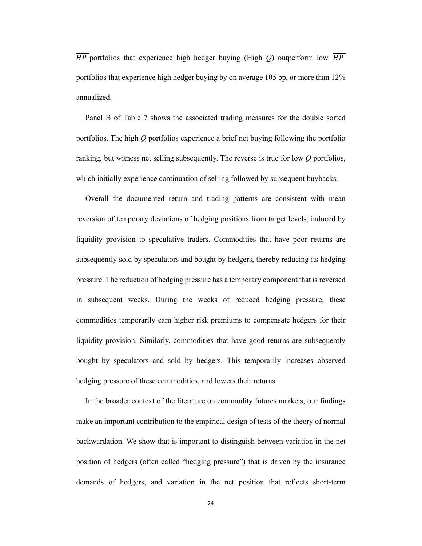$\overline{HP}$  portfolios that experience high hedger buying (High *O*) outperform low  $\overline{HP}$ portfolios that experience high hedger buying by on average 105 bp, or more than 12% annualized.

Panel B of Table 7 shows the associated trading measures for the double sorted portfolios. The high *Q* portfolios experience a brief net buying following the portfolio ranking, but witness net selling subsequently. The reverse is true for low *Q* portfolios, which initially experience continuation of selling followed by subsequent buybacks.

Overall the documented return and trading patterns are consistent with mean reversion of temporary deviations of hedging positions from target levels, induced by liquidity provision to speculative traders. Commodities that have poor returns are subsequently sold by speculators and bought by hedgers, thereby reducing its hedging pressure. The reduction of hedging pressure has a temporary component that is reversed in subsequent weeks. During the weeks of reduced hedging pressure, these commodities temporarily earn higher risk premiums to compensate hedgers for their liquidity provision. Similarly, commodities that have good returns are subsequently bought by speculators and sold by hedgers. This temporarily increases observed hedging pressure of these commodities, and lowers their returns.

In the broader context of the literature on commodity futures markets, our findings make an important contribution to the empirical design of tests of the theory of normal backwardation. We show that is important to distinguish between variation in the net position of hedgers (often called "hedging pressure") that is driven by the insurance demands of hedgers, and variation in the net position that reflects short-term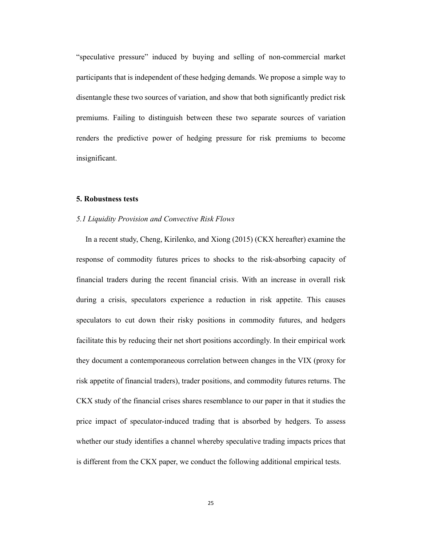"speculative pressure" induced by buying and selling of non-commercial market participants that is independent of these hedging demands. We propose a simple way to disentangle these two sources of variation, and show that both significantly predict risk premiums. Failing to distinguish between these two separate sources of variation renders the predictive power of hedging pressure for risk premiums to become insignificant.

#### **5. Robustness tests**

#### *5.1 Liquidity Provision and Convective Risk Flows*

In a recent study, Cheng, Kirilenko, and Xiong (2015) (CKX hereafter) examine the response of commodity futures prices to shocks to the risk-absorbing capacity of financial traders during the recent financial crisis. With an increase in overall risk during a crisis, speculators experience a reduction in risk appetite. This causes speculators to cut down their risky positions in commodity futures, and hedgers facilitate this by reducing their net short positions accordingly. In their empirical work they document a contemporaneous correlation between changes in the VIX (proxy for risk appetite of financial traders), trader positions, and commodity futures returns. The CKX study of the financial crises shares resemblance to our paper in that it studies the price impact of speculator-induced trading that is absorbed by hedgers. To assess whether our study identifies a channel whereby speculative trading impacts prices that is different from the CKX paper, we conduct the following additional empirical tests.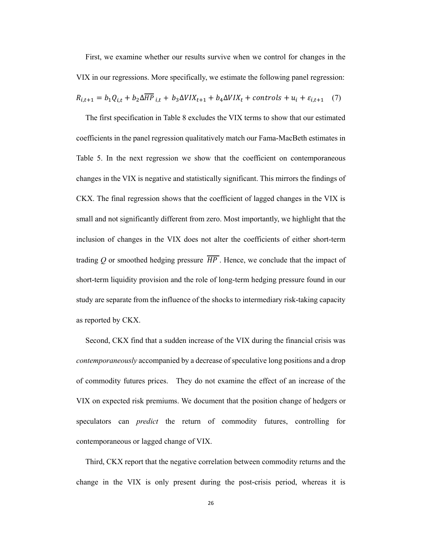First, we examine whether our results survive when we control for changes in the VIX in our regressions. More specifically, we estimate the following panel regression:

$$
R_{i,t+1} = b_1 Q_{i,t} + b_2 \Delta \overline{HP}_{i,t} + b_3 \Delta VIX_{t+1} + b_4 \Delta VIX_t + controls + u_i + \varepsilon_{i,t+1} \quad (7)
$$

The first specification in Table 8 excludes the VIX terms to show that our estimated coefficients in the panel regression qualitatively match our Fama-MacBeth estimates in Table 5. In the next regression we show that the coefficient on contemporaneous changes in the VIX is negative and statistically significant. This mirrors the findings of CKX. The final regression shows that the coefficient of lagged changes in the VIX is small and not significantly different from zero. Most importantly, we highlight that the inclusion of changes in the VIX does not alter the coefficients of either short-term trading *Q* or smoothed hedging pressure  $\overline{HP}$ . Hence, we conclude that the impact of short-term liquidity provision and the role of long-term hedging pressure found in our study are separate from the influence of the shocks to intermediary risk-taking capacity as reported by CKX.

Second, CKX find that a sudden increase of the VIX during the financial crisis was *contemporaneously* accompanied by a decrease of speculative long positions and a drop of commodity futures prices. They do not examine the effect of an increase of the VIX on expected risk premiums. We document that the position change of hedgers or speculators can *predict* the return of commodity futures, controlling for contemporaneous or lagged change of VIX.

Third, CKX report that the negative correlation between commodity returns and the change in the VIX is only present during the post-crisis period, whereas it is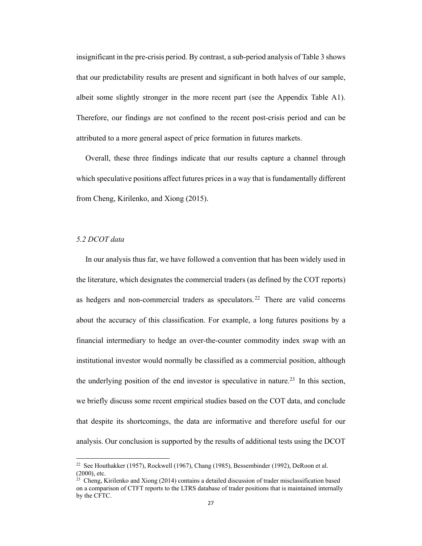insignificant in the pre-crisis period. By contrast, a sub-period analysis of Table 3 shows that our predictability results are present and significant in both halves of our sample, albeit some slightly stronger in the more recent part (see the Appendix Table A1). Therefore, our findings are not confined to the recent post-crisis period and can be attributed to a more general aspect of price formation in futures markets.

Overall, these three findings indicate that our results capture a channel through which speculative positions affect futures prices in a way that is fundamentally different from Cheng, Kirilenko, and Xiong (2015).

# *5.2 DCOT data*

In our analysis thus far, we have followed a convention that has been widely used in the literature, which designates the commercial traders (as defined by the COT reports) as hedgers and non-commercial traders as speculators.<sup>22</sup> There are valid concerns about the accuracy of this classification. For example, a long futures positions by a financial intermediary to hedge an over-the-counter commodity index swap with an institutional investor would normally be classified as a commercial position, although the underlying position of the end investor is speculative in nature.<sup>23</sup> In this section, we briefly discuss some recent empirical studies based on the COT data, and conclude that despite its shortcomings, the data are informative and therefore useful for our analysis. Our conclusion is supported by the results of additional tests using the DCOT

<sup>22</sup> See Houthakker (1957), Rockwell (1967), Chang (1985), Bessembinder (1992), DeRoon et al. (2000), etc.

 $^{23}$  Cheng, Kirilenko and Xiong (2014) contains a detailed discussion of trader misclassification based on a comparison of CTFT reports to the LTRS database of trader positions that is maintained internally by the CFTC.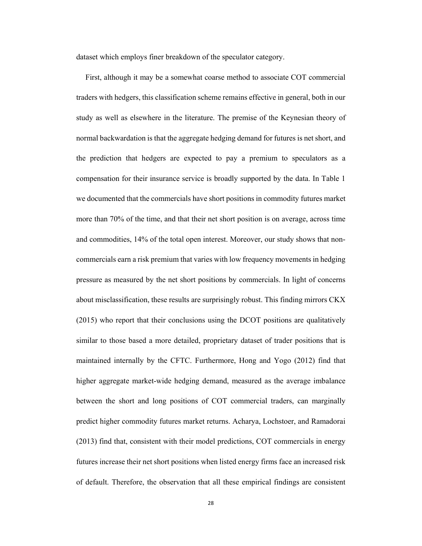dataset which employs finer breakdown of the speculator category.

First, although it may be a somewhat coarse method to associate COT commercial traders with hedgers, this classification scheme remains effective in general, both in our study as well as elsewhere in the literature. The premise of the Keynesian theory of normal backwardation is that the aggregate hedging demand for futures is net short, and the prediction that hedgers are expected to pay a premium to speculators as a compensation for their insurance service is broadly supported by the data. In Table 1 we documented that the commercials have short positions in commodity futures market more than 70% of the time, and that their net short position is on average, across time and commodities, 14% of the total open interest. Moreover, our study shows that noncommercials earn a risk premium that varies with low frequency movements in hedging pressure as measured by the net short positions by commercials. In light of concerns about misclassification, these results are surprisingly robust. This finding mirrors CKX (2015) who report that their conclusions using the DCOT positions are qualitatively similar to those based a more detailed, proprietary dataset of trader positions that is maintained internally by the CFTC. Furthermore, Hong and Yogo (2012) find that higher aggregate market-wide hedging demand, measured as the average imbalance between the short and long positions of COT commercial traders, can marginally predict higher commodity futures market returns. Acharya, Lochstoer, and Ramadorai (2013) find that, consistent with their model predictions, COT commercials in energy futures increase their net short positions when listed energy firms face an increased risk of default. Therefore, the observation that all these empirical findings are consistent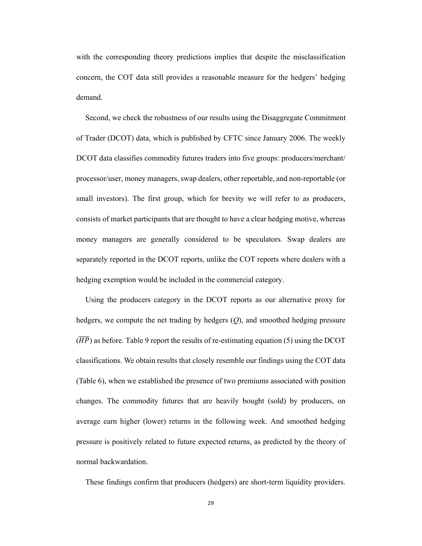with the corresponding theory predictions implies that despite the misclassification concern, the COT data still provides a reasonable measure for the hedgers' hedging demand.

Second, we check the robustness of our results using the Disaggregate Commitment of Trader (DCOT) data, which is published by CFTC since January 2006. The weekly DCOT data classifies commodity futures traders into five groups: producers/merchant/ processor/user, money managers, swap dealers, other reportable, and non-reportable (or small investors). The first group, which for brevity we will refer to as producers, consists of market participants that are thought to have a clear hedging motive, whereas money managers are generally considered to be speculators. Swap dealers are separately reported in the DCOT reports, unlike the COT reports where dealers with a hedging exemption would be included in the commercial category.

Using the producers category in the DCOT reports as our alternative proxy for hedgers, we compute the net trading by hedgers (*Q*), and smoothed hedging pressure  $(\overline{HP})$  as before. Table 9 report the results of re-estimating equation (5) using the DCOT classifications. We obtain results that closely resemble our findings using the COT data (Table 6), when we established the presence of two premiums associated with position changes. The commodity futures that are heavily bought (sold) by producers, on average earn higher (lower) returns in the following week. And smoothed hedging pressure is positively related to future expected returns, as predicted by the theory of normal backwardation.

These findings confirm that producers (hedgers) are short-term liquidity providers.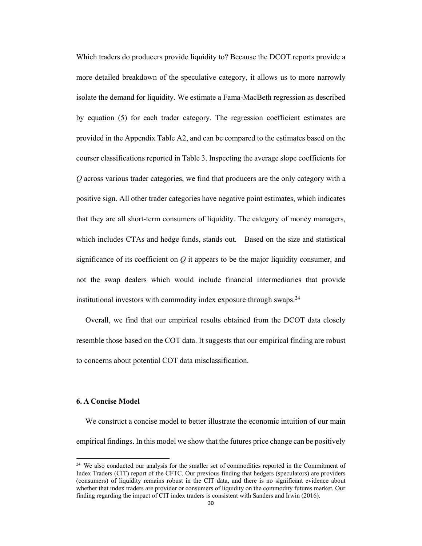Which traders do producers provide liquidity to? Because the DCOT reports provide a more detailed breakdown of the speculative category, it allows us to more narrowly isolate the demand for liquidity. We estimate a Fama-MacBeth regression as described by equation (5) for each trader category. The regression coefficient estimates are provided in the Appendix Table A2, and can be compared to the estimates based on the courser classifications reported in Table 3. Inspecting the average slope coefficients for *Q* across various trader categories, we find that producers are the only category with a positive sign. All other trader categories have negative point estimates, which indicates that they are all short-term consumers of liquidity. The category of money managers, which includes CTAs and hedge funds, stands out. Based on the size and statistical significance of its coefficient on *Q* it appears to be the major liquidity consumer, and not the swap dealers which would include financial intermediaries that provide institutional investors with commodity index exposure through swaps. $24$ 

Overall, we find that our empirical results obtained from the DCOT data closely resemble those based on the COT data. It suggests that our empirical finding are robust to concerns about potential COT data misclassification.

#### **6. A Concise Model**

We construct a concise model to better illustrate the economic intuition of our main empirical findings. In this model we show that the futures price change can be positively

<sup>&</sup>lt;sup>24</sup> We also conducted our analysis for the smaller set of commodities reported in the Commitment of Index Traders (CIT) report of the CFTC. Our previous finding that hedgers (speculators) are providers (consumers) of liquidity remains robust in the CIT data, and there is no significant evidence about whether that index traders are provider or consumers of liquidity on the commodity futures market. Our finding regarding the impact of CIT index traders is consistent with Sanders and Irwin (2016).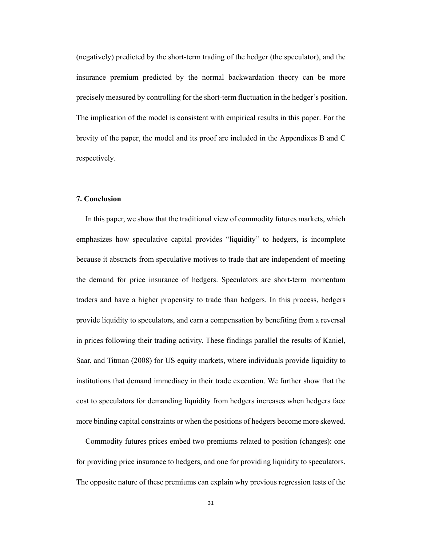(negatively) predicted by the short-term trading of the hedger (the speculator), and the insurance premium predicted by the normal backwardation theory can be more precisely measured by controlling for the short-term fluctuation in the hedger's position. The implication of the model is consistent with empirical results in this paper. For the brevity of the paper, the model and its proof are included in the Appendixes B and C respectively.

#### **7. Conclusion**

In this paper, we show that the traditional view of commodity futures markets, which emphasizes how speculative capital provides "liquidity" to hedgers, is incomplete because it abstracts from speculative motives to trade that are independent of meeting the demand for price insurance of hedgers. Speculators are short-term momentum traders and have a higher propensity to trade than hedgers. In this process, hedgers provide liquidity to speculators, and earn a compensation by benefiting from a reversal in prices following their trading activity. These findings parallel the results of Kaniel, Saar, and Titman (2008) for US equity markets, where individuals provide liquidity to institutions that demand immediacy in their trade execution. We further show that the cost to speculators for demanding liquidity from hedgers increases when hedgers face more binding capital constraints or when the positions of hedgers become more skewed.

Commodity futures prices embed two premiums related to position (changes): one for providing price insurance to hedgers, and one for providing liquidity to speculators. The opposite nature of these premiums can explain why previous regression tests of the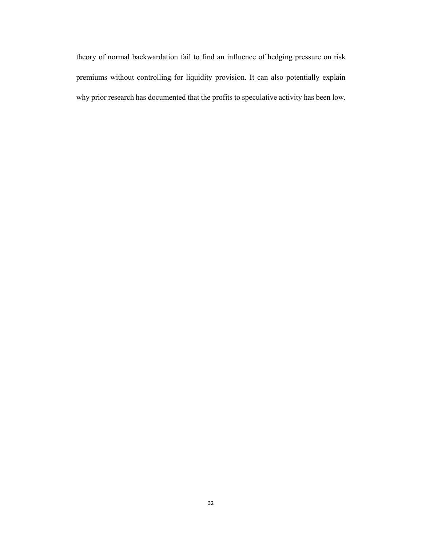theory of normal backwardation fail to find an influence of hedging pressure on risk premiums without controlling for liquidity provision. It can also potentially explain why prior research has documented that the profits to speculative activity has been low.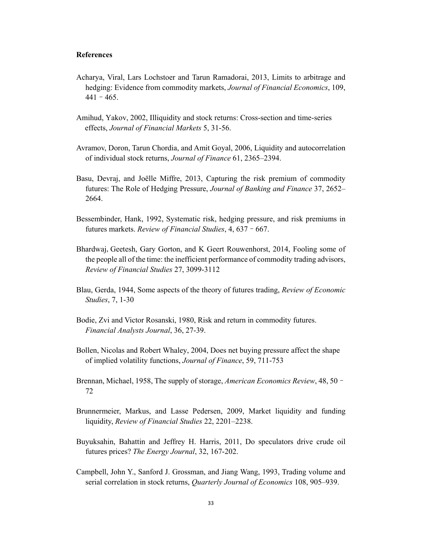# **References**

- Acharya, Viral, Lars Lochstoer and Tarun Ramadorai, 2013, Limits to arbitrage and hedging: Evidence from commodity markets, *Journal of Financial Economics*, 109,  $441 - 465$ .
- Amihud, Yakov, 2002, Illiquidity and stock returns: Cross-section and time-series effects, *Journal of Financial Markets* 5, 31-56.
- Avramov, Doron, Tarun Chordia, and Amit Goyal, 2006, Liquidity and autocorrelation of individual stock returns, *Journal of Finance* 61, 2365–2394.
- Basu, Devraj, and Joëlle Miffre, 2013, Capturing the risk premium of commodity futures: The Role of Hedging Pressure, *Journal of Banking and Finance* 37, 2652– 2664.
- Bessembinder, Hank, 1992, Systematic risk, hedging pressure, and risk premiums in futures markets. *Review of Financial Studies*, 4, 637–667.
- Bhardwaj, Geetesh, Gary Gorton, and K Geert Rouwenhorst, 2014, Fooling some of the people all of the time: the inefficient performance of commodity trading advisors, *Review of Financial Studies* 27, 3099-3112
- Blau, Gerda, 1944, Some aspects of the theory of futures trading, *Review of Economic Studies*, 7, 1-30
- Bodie, Zvi and Victor Rosanski, 1980, Risk and return in commodity futures. *Financial Analysts Journal*, 36, 27-39.
- Bollen, Nicolas and Robert Whaley, 2004, Does net buying pressure affect the shape of implied volatility functions, *Journal of Finance*, 59, 711-753
- Brennan, Michael, 1958, The supply of storage, *American Economics Review*, 48, 50– 72
- Brunnermeier, Markus, and Lasse Pedersen, 2009, Market liquidity and funding liquidity, *Review of Financial Studies* 22, 2201–2238.
- Buyuksahin, Bahattin and Jeffrey H. Harris, 2011, Do speculators drive crude oil futures prices? *The Energy Journal*, 32, 167-202.
- Campbell, John Y., Sanford J. Grossman, and Jiang Wang, 1993, Trading volume and serial correlation in stock returns, *Quarterly Journal of Economics* 108, 905–939.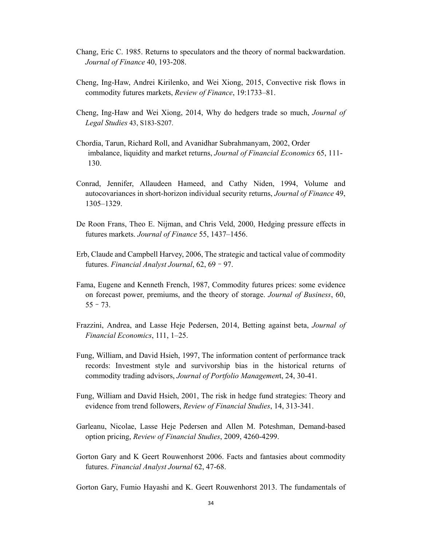- Chang, Eric C. 1985. Returns to speculators and the theory of normal backwardation. *Journal of Finance* 40, 193-208.
- Cheng, Ing-Haw, Andrei Kirilenko, and Wei Xiong, 2015, Convective risk flows in commodity futures markets, *Review of Finance*, 19:1733–81.
- Cheng, Ing-Haw and Wei Xiong, 2014, Why do hedgers trade so much, *Journal of Legal Studies* 43, S183-S207.
- Chordia, Tarun, Richard Roll, and Avanidhar Subrahmanyam, 2002, Order imbalance, liquidity and market returns, *Journal of Financial Economics* 65, 111- 130.
- Conrad, Jennifer, Allaudeen Hameed, and Cathy Niden, 1994, Volume and autocovariances in short-horizon individual security returns, *Journal of Finance* 49, 1305–1329.
- De Roon Frans, Theo E. Nijman, and Chris Veld, 2000, Hedging pressure effects in futures markets. *Journal of Finance* 55, 1437–1456.
- Erb, Claude and Campbell Harvey, 2006, The strategic and tactical value of commodity futures. *Financial Analyst Journal*, 62, 69–97.
- Fama, Eugene and Kenneth French, 1987, Commodity futures prices: some evidence on forecast power, premiums, and the theory of storage. *Journal of Business*, 60,  $55 - 73.$
- Frazzini, Andrea, and Lasse Heje Pedersen, 2014, Betting against beta, *Journal of Financial Economics*, 111, 1–25.
- Fung, William, and David Hsieh, 1997, The information content of performance track records: Investment style and survivorship bias in the historical returns of commodity trading advisors, *Journal of Portfolio Managemen*t, 24, 30-41.
- Fung, William and David Hsieh, 2001, The risk in hedge fund strategies: Theory and evidence from trend followers, *Review of Financial Studies*, 14, 313-341.
- Garleanu, Nicolae, Lasse Heje Pedersen and Allen M. Poteshman, Demand-based option pricing, *Review of Financial Studies*, 2009, 4260-4299.
- Gorton Gary and K Geert Rouwenhorst 2006. Facts and fantasies about commodity futures. *Financial Analyst Journal* 62, 47-68.

Gorton Gary, Fumio Hayashi and K. Geert Rouwenhorst 2013. The fundamentals of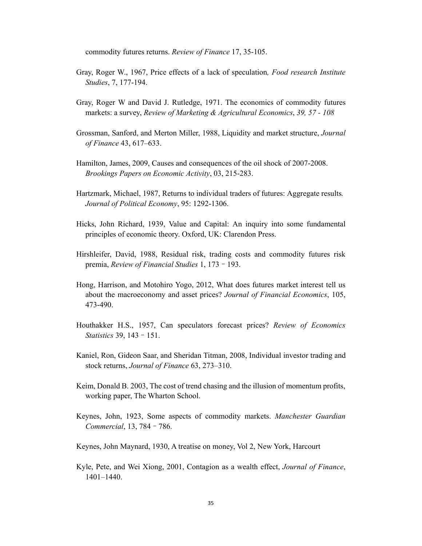commodity futures returns. *Review of Finance* 17, 35-105.

- Gray, Roger W., 1967, Price effects of a lack of speculation*, Food research Institute Studies*, 7, 177-194.
- Gray, Roger W and David J. Rutledge, 1971. The economics of commodity futures markets: a survey, *Review of Marketing & Agricultural Economics*, *39, 57 - 108*
- Grossman, Sanford, and Merton Miller, 1988, Liquidity and market structure, *Journal of Finance* 43, 617–633.
- Hamilton, James, 2009, Causes and consequences of the oil shock of 2007-2008. *Brookings Papers on Economic Activity*, 03, 215-283.
- Hartzmark, Michael, 1987, Returns to individual traders of futures: Aggregate results*. Journal of Political Economy*, 95: 1292-1306.
- Hicks, John Richard, 1939, Value and Capital: An inquiry into some fundamental principles of economic theory. Oxford, UK: Clarendon Press.
- Hirshleifer, David, 1988, Residual risk, trading costs and commodity futures risk premia, *Review of Financial Studies* 1, 173–193.
- Hong, Harrison, and Motohiro Yogo, 2012, What does futures market interest tell us about the macroeconomy and asset prices? *Journal of Financial Economics*, 105, 473-490.
- Houthakker H.S., 1957, Can speculators forecast prices? *Review of Economics Statistics* 39, 143–151.
- Kaniel, Ron, Gideon Saar, and Sheridan Titman, 2008, Individual investor trading and stock returns, *Journal of Finance* 63, 273–310.
- Keim, Donald B. 2003, The cost of trend chasing and the illusion of momentum profits, working paper, The Wharton School.
- Keynes, John, 1923, Some aspects of commodity markets. *Manchester Guardian Commercial*, 13, 784–786.
- Keynes, John Maynard, 1930, A treatise on money, Vol 2, New York, Harcourt
- Kyle, Pete, and Wei Xiong, 2001, Contagion as a wealth effect, *Journal of Finance*, 1401–1440.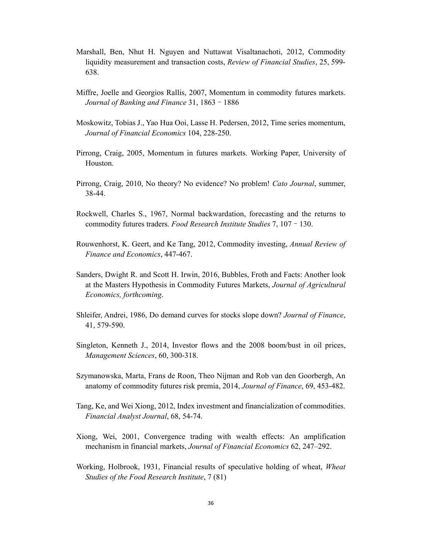- Marshall, Ben, Nhut H. Nguyen and Nuttawat Visaltanachoti, 2012, Commodity liquidity measurement and transaction costs, *Review of Financial Studies*, 25, 599- 638.
- Miffre, Joelle and Georgios Rallis, 2007, Momentum in commodity futures markets. *Journal of Banking and Finance* 31, 1863–1886
- Moskowitz, Tobias J., Yao Hua Ooi, Lasse H. Pedersen, 2012, Time series momentum, *Journal of Financial Economics* 104, 228-250.
- Pirrong, Craig, 2005, Momentum in futures markets. Working Paper, University of Houston.
- Pirrong, Craig, 2010, No theory? No evidence? No problem! *Cato Journal*, summer, 38-44.
- Rockwell, Charles S., 1967, Normal backwardation, forecasting and the returns to commodity futures traders. *Food Research Institute Studies* 7, 107–130.
- Rouwenhorst, K. Geert, and Ke Tang, 2012, Commodity investing, *Annual Review of Finance and Economics*, 447-467.
- Sanders, Dwight R. and Scott H. Irwin, 2016, Bubbles, Froth and Facts: Another look at the Masters Hypothesis in Commodity Futures Markets, *Journal of Agricultural Economics, forthcoming*.
- Shleifer, Andrei, 1986, Do demand curves for stocks slope down? *Journal of Finance*, 41, 579-590.
- Singleton, Kenneth J., 2014, Investor flows and the 2008 boom/bust in oil prices, *Management Sciences*, 60, 300-318.
- Szymanowska, Marta, Frans de Roon, Theo Nijman and Rob van den Goorbergh, An anatomy of commodity futures risk premia, 2014, *Journal of Finance*, 69, 453-482.
- Tang, Ke, and Wei Xiong, 2012, Index investment and financialization of commodities. *Financial Analyst Journal*, 68, 54-74.
- Xiong, Wei, 2001, Convergence trading with wealth effects: An amplification mechanism in financial markets, *Journal of Financial Economics* 62, 247–292.
- Working, Holbrook, 1931, Financial results of speculative holding of wheat, *Wheat Studies of the Food Research Institute*, 7 (81)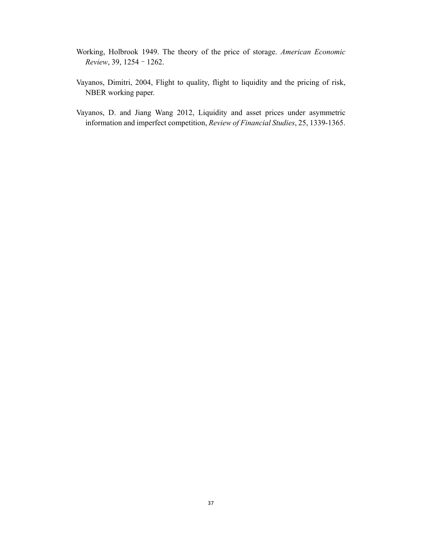- Working, Holbrook 1949. The theory of the price of storage. *American Economic Review*, 39, 1254–1262.
- Vayanos, Dimitri, 2004, Flight to quality, flight to liquidity and the pricing of risk, NBER working paper.
- Vayanos, D. and Jiang Wang 2012, Liquidity and asset prices under asymmetric information and imperfect competition, *Review of Financial Studies*, 25, 1339-1365.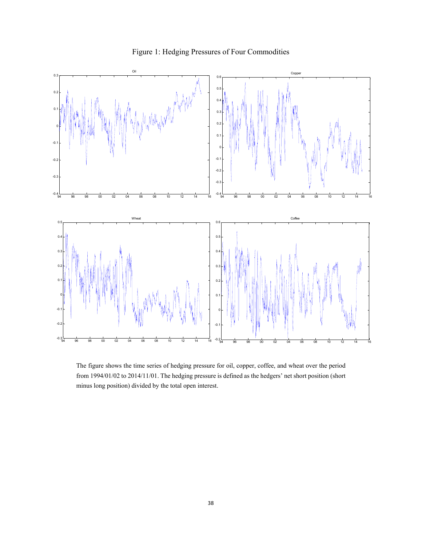

Figure 1: Hedging Pressures of Four Commodities

The figure shows the time series of hedging pressure for oil, copper, coffee, and wheat over the period from 1994/01/02 to 2014/11/01. The hedging pressure is defined as the hedgers' net short position (short minus long position) divided by the total open interest.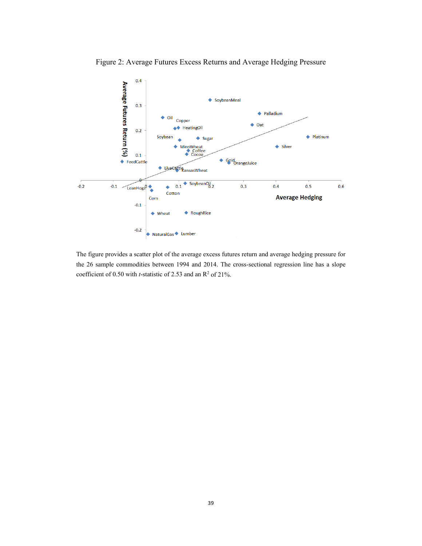



The figure provides a scatter plot of the average excess futures return and average hedging pressure for the 26 sample commodities between 1994 and 2014. The cross-sectional regression line has a slope coefficient of  $0.50$  with *t*-statistic of 2.53 and an  $\mathbb{R}^2$  of 21%.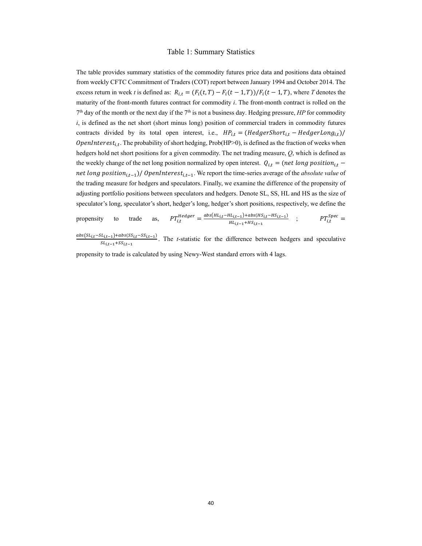#### Table 1: Summary Statistics

The table provides summary statistics of the commodity futures price data and positions data obtained from weekly CFTC Commitment of Traders (COT) report between January 1994 and October 2014. The excess return in week *t* is defined as:  $R_{i,t} = (F_i(t, T) - F_i(t - 1, T))/F_i(t - 1, T)$ , where *T* denotes the maturity of the front-month futures contract for commodity *i*. The front-month contract is rolled on the  $7<sup>th</sup>$  day of the month or the next day if the  $7<sup>th</sup>$  is not a business day. Hedging pressure, *HP* for commodity *i*, is defined as the net short (short minus long) position of commercial traders in commodity futures contracts divided by its total open interest, i.e.,  $HP_{i,t} = (HedgeerShort_{i,t} - HedgerLong_{i,t})/$ *OpenInterest<sub>i.t</sub>*. The probability of short hedging, Prob(HP>0), is defined as the fraction of weeks when hedgers hold net short positions for a given commodity. The net trading measure, *Q*, which is defined as the weekly change of the net long position normalized by open interest.  $Q_{i,t} = (net long position_{i,t}$ net long position<sub>i,t-1</sub>)/ OpenInterest<sub>i,t-1</sub>. We report the time-series average of the *absolute value* of the trading measure for hedgers and speculators. Finally, we examine the difference of the propensity of adjusting portfolio positions between speculators and hedgers. Denote SL, SS, HL and HS as the size of speculator's long, speculator's short, hedger's long, hedger's short positions, respectively, we define the

$$
\text{propensity} \quad \text{to} \quad \text{trade} \quad \text{as}, \quad PT_{i,t}^{Hedgeer} = \frac{abs(H_{i,t} - HL_{i,t-1}) + abs(H_{i,t} - HS_{i,t-1})}{HL_{i,t-1} + HS_{i,t-1}} \quad ; \quad PT_{i,t}^{Spec} =
$$

 $abs(SL_{i,t} - SL_{i,t-1}) + abs(SS_{i,t} - SS_{i,t-1})$  $s_{i,t-1}$ ,  $u_{i,s}$ ,  $s_{i,t-1}$ ,  $u_{i,s}$ ,  $u_{i,t-1}$ ,  $u_{i,s}$ ,  $u_{i,t-1}$ ,  $u_{i,s}$ ,  $u_{i,t-1}$ ,  $u_{i,s}$ ,  $u_{i,t-1}$ ,  $u_{i,s}$ ,  $u_{i,t-1}$ ,  $u_{i,s}$ ,  $u_{i,t-1}$ ,  $u_{i,s}$ ,  $u_{i,t-1}$ ,  $u_{i,s}$ ,  $u_{i,t-1}$ ,  $u_{i,s}$ ,  $u_{i,t-1}$ ,  $u_{i,s}$ , propensity to trade is calculated by using Newy-West standard errors with 4 lags.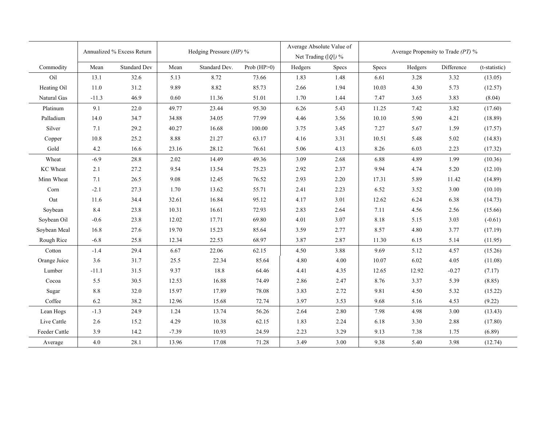|                 | Annualized % Excess Return |                     | Hedging Pressure (HP) % |               | Average Absolute Value of<br>Net Trading $( Q )$ % |         | Average Propensity to Trade $(PT)$ % |       |         |            |               |
|-----------------|----------------------------|---------------------|-------------------------|---------------|----------------------------------------------------|---------|--------------------------------------|-------|---------|------------|---------------|
| Commodity       | Mean                       | <b>Standard Dev</b> | Mean                    | Standard Dev. | Prob $(HP>0)$                                      | Hedgers | Specs                                | Specs | Hedgers | Difference | (t-statistic) |
| Oil             | 13.1                       | 32.6                | 5.13                    | 8.72          | 73.66                                              | 1.83    | 1.48                                 | 6.61  | 3.28    | 3.32       | (13.05)       |
| Heating Oil     | 11.0                       | 31.2                | 9.89                    | 8.82          | 85.73                                              | 2.66    | 1.94                                 | 10.03 | 4.30    | 5.73       | (12.57)       |
| Natural Gas     | $-11.3$                    | 46.9                | 0.60                    | 11.36         | 51.01                                              | 1.70    | 1.44                                 | 7.47  | 3.65    | 3.83       | (8.04)        |
| Platinum        | 9.1                        | 22.0                | 49.77                   | 23.44         | 95.30                                              | 6.26    | 5.43                                 | 11.25 | 7.42    | 3.82       | (17.60)       |
| Palladium       | 14.0                       | 34.7                | 34.88                   | 34.05         | 77.99                                              | 4.46    | 3.56                                 | 10.10 | 5.90    | 4.21       | (18.89)       |
| Silver          | 7.1                        | 29.2                | 40.27                   | 16.68         | 100.00                                             | 3.75    | 3.45                                 | 7.27  | 5.67    | 1.59       | (17.57)       |
| Copper          | 10.8                       | 25.2                | 8.88                    | 21.27         | 63.17                                              | 4.16    | 3.31                                 | 10.51 | 5.48    | 5.02       | (14.83)       |
| Gold            | $4.2\,$                    | 16.6                | 23.16                   | 28.12         | 76.61                                              | 5.06    | 4.13                                 | 8.26  | 6.03    | 2.23       | (17.32)       |
| Wheat           | $-6.9$                     | 28.8                | 2.02                    | 14.49         | 49.36                                              | 3.09    | 2.68                                 | 6.88  | 4.89    | 1.99       | (10.36)       |
| <b>KC</b> Wheat | 2.1                        | 27.2                | 9.54                    | 13.54         | 75.23                                              | 2.92    | 2.37                                 | 9.94  | 4.74    | 5.20       | (12.10)       |
| Minn Wheat      | 7.1                        | 26.5                | 9.08                    | 12.45         | 76.52                                              | 2.93    | 2.20                                 | 17.31 | 5.89    | 11.42      | (14.89)       |
| Corn            | $-2.1$                     | 27.3                | 1.70                    | 13.62         | 55.71                                              | 2.41    | 2.23                                 | 6.52  | 3.52    | 3.00       | (10.10)       |
| Oat             | 11.6                       | 34.4                | 32.61                   | 16.84         | 95.12                                              | 4.17    | 3.01                                 | 12.62 | 6.24    | 6.38       | (14.73)       |
| Soybean         | 8.4                        | 23.8                | 10.31                   | 16.61         | 72.93                                              | 2.83    | 2.64                                 | 7.11  | 4.56    | 2.56       | (15.66)       |
| Soybean Oil     | $-0.6$                     | 23.8                | 12.02                   | 17.71         | 69.80                                              | 4.01    | 3.07                                 | 8.18  | 5.15    | 3.03       | $(-0.61)$     |
| Soybean Meal    | 16.8                       | 27.6                | 19.70                   | 15.23         | 85.64                                              | 3.59    | 2.77                                 | 8.57  | 4.80    | 3.77       | (17.19)       |
| Rough Rice      | $-6.8$                     | 25.8                | 12.34                   | 22.53         | 68.97                                              | 3.87    | 2.87                                 | 11.30 | 6.15    | 5.14       | (11.95)       |
| Cotton          | $-1.4$                     | 29.4                | 6.67                    | 22.06         | 62.15                                              | 4.50    | 3.88                                 | 9.69  | 5.12    | 4.57       | (15.26)       |
| Orange Juice    | 3.6                        | 31.7                | 25.5                    | 22.34         | 85.64                                              | 4.80    | 4.00                                 | 10.07 | 6.02    | 4.05       | (11.08)       |
| Lumber          | $-11.1$                    | 31.5                | 9.37                    | 18.8          | 64.46                                              | 4.41    | 4.35                                 | 12.65 | 12.92   | $-0.27$    | (7.17)        |
| Cocoa           | 5.5                        | 30.5                | 12.53                   | 16.88         | 74.49                                              | 2.86    | 2.47                                 | 8.76  | 3.37    | 5.39       | (8.85)        |
| Sugar           | 8.8                        | 32.0                | 15.97                   | 17.89         | 78.08                                              | 3.83    | 2.72                                 | 9.81  | 4.50    | 5.32       | (15.22)       |
| Coffee          | 6.2                        | 38.2                | 12.96                   | 15.68         | 72.74                                              | 3.97    | 3.53                                 | 9.68  | 5.16    | 4.53       | (9.22)        |
| Lean Hogs       | $-1.3$                     | 24.9                | 1.24                    | 13.74         | 56.26                                              | 2.64    | 2.80                                 | 7.98  | 4.98    | 3.00       | (13.43)       |
| Live Cattle     | 2.6                        | 15.2                | 4.29                    | 10.38         | 62.15                                              | 1.83    | 2.24                                 | 6.18  | 3.30    | 2.88       | (17.80)       |
| Feeder Cattle   | 3.9                        | 14.2                | $-7.39$                 | 10.93         | 24.59                                              | 2.23    | 3.29                                 | 9.13  | 7.38    | 1.75       | (6.89)        |
| Average         | 4.0                        | 28.1                | 13.96                   | 17.08         | 71.28                                              | 3.49    | 3.00                                 | 9.38  | 5.40    | 3.98       | (12.74)       |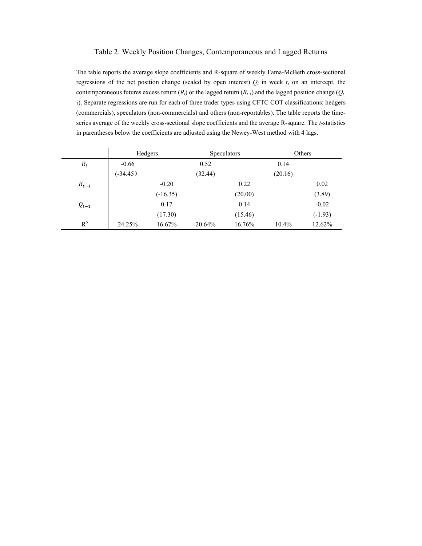# Table 2: Weekly Position Changes, Contemporaneous and Lagged Returns

The table reports the average slope coefficients and R-square of weekly Fama-McBeth cross-sectional regressions of the net position change (scaled by open interest)  $Q_t$  in week  $t$ , on an intercept, the contemporaneous futures excess return  $(R_t)$  or the lagged return  $(R_t)$  and the lagged position change  $(Q_t)$ *<sup>1</sup>*). Separate regressions are run for each of three trader types using CFTC COT classifications: hedgers (commercials), speculators (non-commercials) and others (non-reportables). The table reports the timeseries average of the weekly cross-sectional slope coefficients and the average R-square. The *t*-statistics in parentheses below the coefficients are adjusted using the Newey-West method with 4 lags.

|           | Hedgers    |            | <b>Speculators</b> |         | Others  |           |
|-----------|------------|------------|--------------------|---------|---------|-----------|
| $R_t$     | $-0.66$    |            | 0.52               |         | 0.14    |           |
|           | $(-34.45)$ |            | (32.44)            |         | (20.16) |           |
| $R_{t-1}$ |            | $-0.20$    |                    | 0.22    |         | 0.02      |
|           |            | $(-16.35)$ |                    | (20.00) |         | (3.89)    |
| $Q_{t-1}$ |            | 0.17       |                    | 0.14    |         | $-0.02$   |
|           |            | (17.30)    |                    | (15.46) |         | $(-1.93)$ |
| $R^2$     | 24.25%     | 16.67%     | 20.64%             | 16.76%  | 10.4%   | 12.62%    |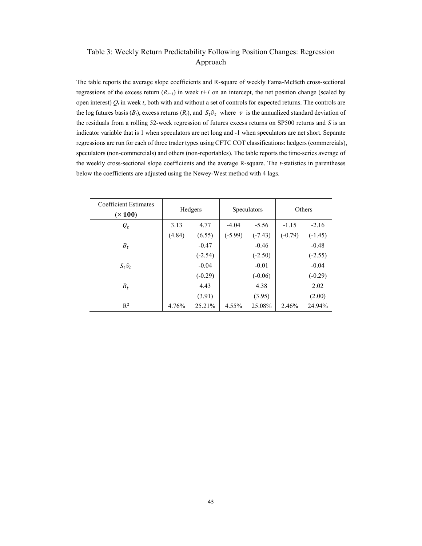# Table 3: Weekly Return Predictability Following Position Changes: Regression Approach

The table reports the average slope coefficients and R-square of weekly Fama-McBeth cross-sectional regressions of the excess return  $(R_{t+1})$  in week  $t+1$  on an intercept, the net position change (scaled by open interest)  $Q_t$  in week  $t$ , both with and without a set of controls for expected returns. The controls are the log futures basis ( $B_t$ ), excess returns ( $R_t$ ), and  $S_t \hat{v}_t$  where  $v$  is the annualized standard deviation of the residuals from a rolling 52-week regression of futures excess returns on SP500 returns and *S* is an indicator variable that is 1 when speculators are net long and -1 when speculators are net short. Separate regressions are run for each of three trader types using CFTC COT classifications: hedgers (commercials), speculators (non-commercials) and others (non-reportables). The table reports the time-series average of the weekly cross-sectional slope coefficients and the average R-square. The *t*-statistics in parentheses below the coefficients are adjusted using the Newey-West method with 4 lags.

| Coefficient Estimates<br>$(\times 100)$ | Hedgers |           | Speculators |           | Others    |           |
|-----------------------------------------|---------|-----------|-------------|-----------|-----------|-----------|
| $Q_t$                                   | 3.13    | 4.77      | $-4.04$     | $-5.56$   | $-1.15$   | $-2.16$   |
|                                         | (4.84)  | (6.55)    | $(-5.99)$   | $(-7.43)$ | $(-0.79)$ | $(-1.45)$ |
| $B_t$                                   |         | $-0.47$   |             | $-0.46$   |           | $-0.48$   |
|                                         |         | $(-2.54)$ |             | $(-2.50)$ |           | $(-2.55)$ |
| $S_t \hat{v}_t$                         |         | $-0.04$   |             | $-0.01$   |           | $-0.04$   |
|                                         |         | $(-0.29)$ |             | $(-0.06)$ |           | $(-0.29)$ |
| $R_t$                                   |         | 4.43      |             | 4.38      |           | 2.02      |
|                                         |         | (3.91)    |             | (3.95)    |           | (2.00)    |
| $R^2$                                   | 4.76%   | 25.21%    | 4.55%       | 25.08%    | 2.46%     | 24.94%    |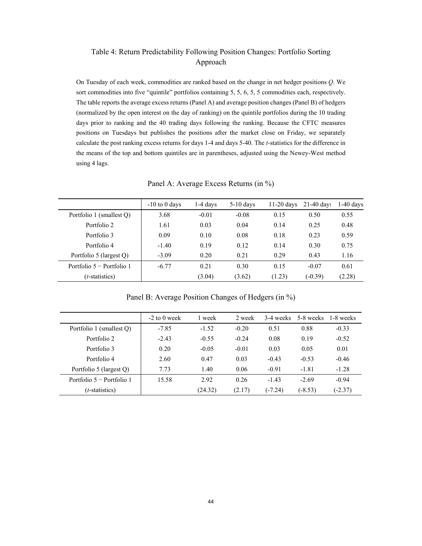# Table 4: Return Predictability Following Position Changes: Portfolio Sorting Approach

On Tuesday of each week, commodities are ranked based on the change in net hedger positions *Q*. We sort commodities into five "quintile" portfolios containing 5, 5, 6, 5, 5 commodities each, respectively. The table reports the average excess returns (Panel A) and average position changes (Panel B) of hedgers (normalized by the open interest on the day of ranking) on the quintile portfolios during the 10 trading days prior to ranking and the 40 trading days following the ranking. Because the CFTC measures positions on Tuesdays but publishes the positions after the market close on Friday, we separately calculate the post ranking excess returns for days 1-4 and days 5-40. The *t*-statistics for the difference in the means of the top and bottom quintiles are in parentheses, adjusted using the Newey-West method using 4 lags.

Panel A: Average Excess Returns (in %)

|                             | $-10$ to 0 days | 1-4 days | $5-10$ days | $11-20$ days | $21-40$ days | $1-40$ days |
|-----------------------------|-----------------|----------|-------------|--------------|--------------|-------------|
| Portfolio 1 (smallest Q)    | 3.68            | $-0.01$  | $-0.08$     | 0.15         | 0.50         | 0.55        |
| Portfolio 2                 | 1.61            | 0.03     | 0.04        | 0.14         | 0.25         | 0.48        |
| Portfolio 3                 | 0.09            | 0.10     | 0.08        | 0.18         | 0.23         | 0.59        |
| Portfolio 4                 | $-1.40$         | 0.19     | 0.12        | 0.14         | 0.30         | 0.75        |
| Portfolio 5 (largest Q)     | $-3.09$         | 0.20     | 0.21        | 0.29         | 0.43         | 1.16        |
| Portfolio $5 -$ Portfolio 1 | $-6.77$         | 0.21     | 0.30        | 0.15         | $-0.07$      | 0.61        |
| ( <i>t</i> -statistics)     |                 | (3.04)   | (3.62)      | (1.23)       | $(-0.39)$    | (2.28)      |

Panel B: Average Position Changes of Hedgers (in %)

|                           | $-2$ to 0 week | 1 week  | 2 week  | 3-4 weeks | 5-8 weeks | 1-8 weeks |
|---------------------------|----------------|---------|---------|-----------|-----------|-----------|
| Portfolio 1 (smallest O)  | $-7.85$        | $-1.52$ | $-0.20$ | 0.51      | 0.88      | $-0.33$   |
| Portfolio 2               | $-2.43$        | $-0.55$ | $-0.24$ | 0.08      | 0.19      | $-0.52$   |
| Portfolio 3               | 0.20           | $-0.05$ | $-0.01$ | 0.03      | 0.05      | 0.01      |
| Portfolio 4               | 2.60           | 0.47    | 0.03    | $-0.43$   | $-0.53$   | $-0.46$   |
| Portfolio 5 (largest Q)   | 7.73           | 1.40    | 0.06    | $-0.91$   | $-1.81$   | $-1.28$   |
| Portfolio 5 – Portfolio 1 | 15.58          | 2.92    | 0.26    | $-1.43$   | $-2.69$   | $-0.94$   |
| $(t\text{-statistics})$   |                | (24.32) | (2.17)  | $(-7.24)$ | $(-8.53)$ | $(-2.37)$ |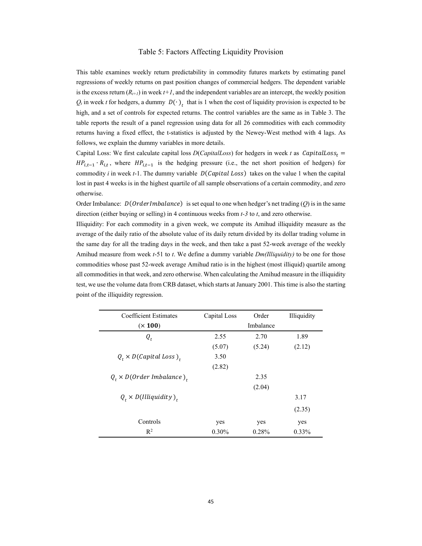#### Table 5: Factors Affecting Liquidity Provision

This table examines weekly return predictability in commodity futures markets by estimating panel regressions of weekly returns on past position changes of commercial hedgers. The dependent variable is the excess return  $(R_{t+1})$  in week  $t+1$ , and the independent variables are an intercept, the weekly position  $Q_t$  in week *t* for hedgers, a dummy  $D(\cdot)$ <sub>t</sub> that is 1 when the cost of liquidity provision is expected to be high, and a set of controls for expected returns. The control variables are the same as in Table 3. The table reports the result of a panel regression using data for all 26 commodities with each commodity returns having a fixed effect, the t-statistics is adjusted by the Newey-West method with 4 lags. As follows, we explain the dummy variables in more details.

Capital Loss: We first calculate capital loss  $D(CapitalLoss)$  for hedgers in week *t* as  $CapitalLoss<sub>t</sub>$  =  $HP_{i,t-1} \cdot R_{i,t}$ , where  $HP_{i,t-1}$  is the hedging pressure (i.e., the net short position of hedgers) for commodity *i* in week  $t-1$ . The dummy variable  $D(Capital Loss)$  takes on the value 1 when the capital lost in past 4 weeks is in the highest quartile of all sample observations of a certain commodity, and zero otherwise.

Order Imbalance:  $D(OrderImbalance)$  is set equal to one when hedger's net trading  $(O)$  is in the same direction (either buying or selling) in 4 continuous weeks from *t-3* to *t*, and zero otherwise.

Illiquidity: For each commodity in a given week, we compute its Amihud illiquidity measure as the average of the daily ratio of the absolute value of its daily return divided by its dollar trading volume in the same day for all the trading days in the week, and then take a past 52-week average of the weekly Amihud measure from week *t*-51 to *t*. We define a dummy variable *Dm(Illiquidity)* to be one for those commodities whose past 52-week average Amihud ratio is in the highest (most illiquid) quartile among all commodities in that week, and zero otherwise. When calculating the Amihud measure in the illiquidity test, we use the volume data from CRB dataset, which starts at January 2001. This time is also the starting point of the illiquidity regression.

| <b>Coefficient Estimates</b>       | Capital Loss | Order     | Illiquidity |
|------------------------------------|--------------|-----------|-------------|
| $(\times 100)$                     |              | Imbalance |             |
| $Q_t$                              | 2.55         | 2.70      | 1.89        |
|                                    | (5.07)       | (5.24)    | (2.12)      |
| $Q_t \times D(Capital Loss)_{t}$   | 3.50         |           |             |
|                                    | (2.82)       |           |             |
| $Q_t \times D(Order\ Imbalance)$ . |              | 2.35      |             |
|                                    |              | (2.04)    |             |
| $Q_t \times D(IIIiquidity)_{t}$    |              |           | 3.17        |
|                                    |              |           | (2.35)      |
| Controls                           | yes          | yes       | yes         |
| $R^2$                              | $0.30\%$     | 0.28%     | $0.33\%$    |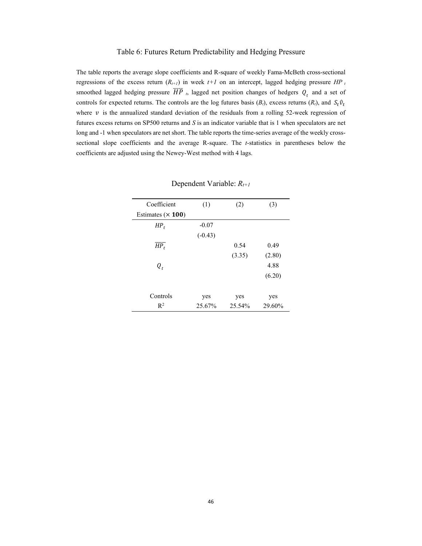#### Table 6: Futures Return Predictability and Hedging Pressure

The table reports the average slope coefficients and R-square of weekly Fama-McBeth cross-sectional regressions of the excess return  $(R_{t+1})$  in week  $t+1$  on an intercept, lagged hedging pressure  $HP_t$ smoothed lagged hedging pressure  $\overline{HP}$ , lagged net position changes of hedgers  $Q_t$  and a set of controls for expected returns. The controls are the log futures basis  $(B_t)$ , excess returns  $(R_t)$ , and  $S_t \hat{v}_t$ where  $\nu$  is the annualized standard deviation of the residuals from a rolling 52-week regression of futures excess returns on SP500 returns and *S* is an indicator variable that is 1 when speculators are net long and -1 when speculators are net short. The table reports the time-series average of the weekly crosssectional slope coefficients and the average R-square. The *t*-statistics in parentheses below the coefficients are adjusted using the Newey-West method with 4 lags.

| Coefficient         | (1)       | (2)    | (3)    |
|---------------------|-----------|--------|--------|
| Estimates $(x 100)$ |           |        |        |
| $HP_t$              | $-0.07$   |        |        |
|                     | $(-0.43)$ |        |        |
| $\overline{HP_t}$   |           | 0.54   | 0.49   |
|                     |           | (3.35) | (2.80) |
| $Q_t$               |           |        | 4.88   |
|                     |           |        | (6.20) |
|                     |           |        |        |
| Controls            | yes       | yes    | yes    |
| $R^2$               | 25.67%    | 25.54% | 29.60% |

Dependent Variable: *Rt+1*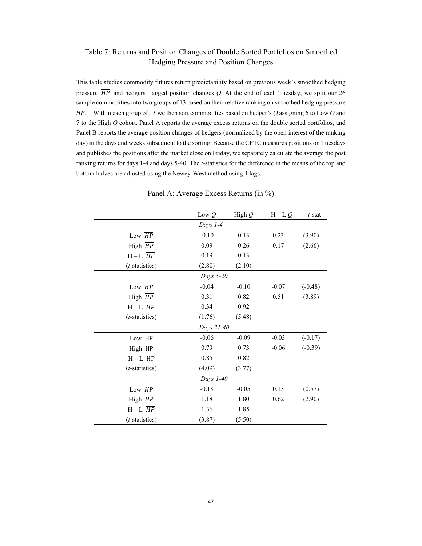# Table 7: Returns and Position Changes of Double Sorted Portfolios on Smoothed Hedging Pressure and Position Changes

This table studies commodity futures return predictability based on previous week's smoothed hedging pressure  $\overline{HP}$  and hedgers' lagged position changes *Q*. At the end of each Tuesday, we split our 26 sample commodities into two groups of 13 based on their relative ranking on smoothed hedging pressure  $\overline{HP}$ . Within each group of 13 we then sort commodities based on hedger's Q assigning 6 to Low Q and 7 to the High *Q* cohort. Panel A reports the average excess returns on the double sorted portfolios, and Panel B reports the average position changes of hedgers (normalized by the open interest of the ranking day) in the days and weeks subsequent to the sorting. Because the CFTC measures positions on Tuesdays and publishes the positions after the market close on Friday, we separately calculate the average the post ranking returns for days 1-4 and days 5-40. The *t*-statistics for the difference in the means of the top and bottom halves are adjusted using the Newey-West method using 4 lags.

|                         | Low $Q$    | High $Q$ | $H-LQ$  | $t$ -stat |
|-------------------------|------------|----------|---------|-----------|
|                         | Days 1-4   |          |         |           |
| Low $\overline{HP}$     | $-0.10$    | 0.13     | 0.23    | (3.90)    |
| High HP                 | 0.09       | 0.26     | 0.17    | (2.66)    |
| $H-L$ $\overline{HP}$   | 0.19       | 0.13     |         |           |
| (t-statistics)          | (2.80)     | (2.10)   |         |           |
|                         | Days 5-20  |          |         |           |
| Low $\overline{HP}$     | $-0.04$    | $-0.10$  | $-0.07$ | $(-0.48)$ |
| High $\overline{HP}$    | 0.31       | 0.82     | 0.51    | (3.89)    |
| $H-L$ $\overline{HP}$   | 0.34       | 0.92     |         |           |
| (t-statistics)          | (1.76)     | (5.48)   |         |           |
|                         | Days 21-40 |          |         |           |
| Low $\overline{HP}$     | $-0.06$    | $-0.09$  | $-0.03$ | $(-0.17)$ |
| High $\overline{HP}$    | 0.79       | 0.73     | $-0.06$ | $(-0.39)$ |
| $H - L$ $\overline{HP}$ | 0.85       | 0.82     |         |           |
| (t-statistics)          | (4.09)     | (3.77)   |         |           |
|                         | Days 1-40  |          |         |           |
| Low $\overline{HP}$     | $-0.18$    | $-0.05$  | 0.13    | (0.57)    |
| High $\overline{HP}$    | 1.18       | 1.80     | 0.62    | (2.90)    |
| $H-L$ $\overline{HP}$   | 1.36       | 1.85     |         |           |
| (t-statistics)          | (3.87)     | (5.50)   |         |           |

Panel A: Average Excess Returns (in %)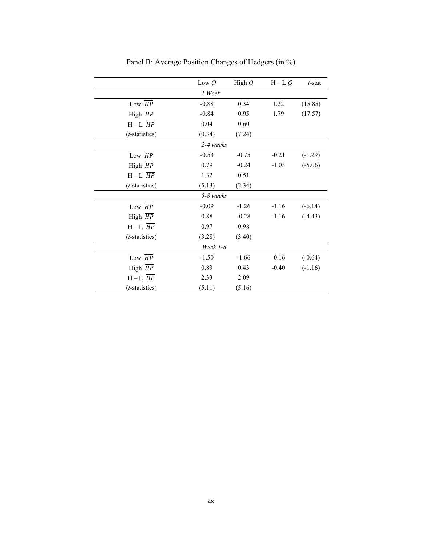|                       | Low $Q$   | High $Q$ | $H-LQ$  | $t$ -stat |
|-----------------------|-----------|----------|---------|-----------|
|                       | 1 Week    |          |         |           |
| Low $\overline{HP}$   | $-0.88$   | 0.34     | 1.22    | (15.85)   |
| High $\overline{HP}$  | $-0.84$   | 0.95     | 1.79    | (17.57)   |
| $H-L$ $\overline{HP}$ | 0.04      | 0.60     |         |           |
| (t-statistics)        | (0.34)    | (7.24)   |         |           |
|                       | 2-4 weeks |          |         |           |
| Low $\overline{HP}$   | $-0.53$   | $-0.75$  | $-0.21$ | $(-1.29)$ |
| High $\overline{HP}$  | 0.79      | $-0.24$  | $-1.03$ | $(-5.06)$ |
| $H-L$ $\overline{HP}$ | 1.32      | 0.51     |         |           |
| (t-statistics)        | (5.13)    | (2.34)   |         |           |
|                       | 5-8 weeks |          |         |           |
| Low $\overline{HP}$   | $-0.09$   | $-1.26$  | $-1.16$ | $(-6.14)$ |
| High HP               | 0.88      | $-0.28$  | $-1.16$ | $(-4.43)$ |
| $H-L$ $\overline{HP}$ | 0.97      | 0.98     |         |           |
| (t-statistics)        | (3.28)    | (3.40)   |         |           |
|                       | Week 1-8  |          |         |           |
| Low $\overline{HP}$   | $-1.50$   | $-1.66$  | $-0.16$ | $(-0.64)$ |
| High $\overline{HP}$  | 0.83      | 0.43     | $-0.40$ | $(-1.16)$ |
| $H-L$ $\overline{HP}$ | 2.33      | 2.09     |         |           |
| (t-statistics)        | (5.11)    | (5.16)   |         |           |

Panel B: Average Position Changes of Hedgers (in %)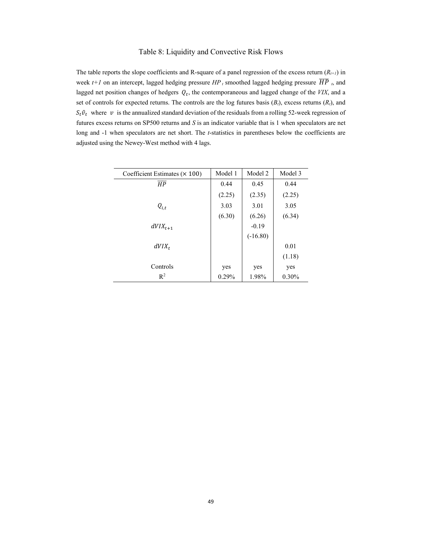# Table 8: Liquidity and Convective Risk Flows

The table reports the slope coefficients and R-square of a panel regression of the excess return  $(R_{t+1})$  in week  $t+1$  on an intercept, lagged hedging pressure  $HP_t$  smoothed lagged hedging pressure  $\overline{HP}_t$ , and lagged net position changes of hedgers  $Q_t$ , the contemporaneous and lagged change of the *VIX*, and a set of controls for expected returns. The controls are the log futures basis  $(B_t)$ , excess returns  $(R_t)$ , and  $S_t \hat{v}_t$  where  $v$  is the annualized standard deviation of the residuals from a rolling 52-week regression of futures excess returns on SP500 returns and *S* is an indicator variable that is 1 when speculators are net long and -1 when speculators are net short. The *t*-statistics in parentheses below the coefficients are adjusted using the Newey-West method with 4 lags.

| Coefficient Estimates $(x 100)$ | Model 1 | Model 2    | Model 3  |
|---------------------------------|---------|------------|----------|
| $\overline{HP}$                 | 0.44    | 0.45       | 0.44     |
|                                 | (2.25)  | (2.35)     | (2.25)   |
| $Q_{i,t}$                       | 3.03    | 3.01       | 3.05     |
|                                 | (6.30)  | (6.26)     | (6.34)   |
| $dVIX_{t+1}$                    |         | $-0.19$    |          |
|                                 |         | $(-16.80)$ |          |
| $dVIX_t$                        |         |            | 0.01     |
|                                 |         |            | (1.18)   |
| Controls                        | yes     | yes        | yes      |
| $\mathbb{R}^2$                  | 0.29%   | 1.98%      | $0.30\%$ |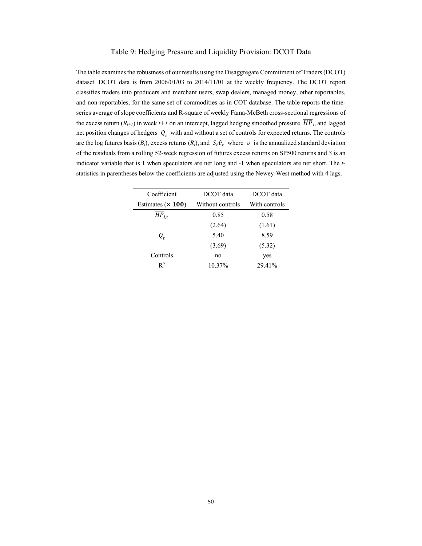#### Table 9: Hedging Pressure and Liquidity Provision: DCOT Data

The table examines the robustness of our results using the Disaggregate Commitment of Traders (DCOT) dataset. DCOT data is from 2006/01/03 to 2014/11/01 at the weekly frequency. The DCOT report classifies traders into producers and merchant users, swap dealers, managed money, other reportables, and non-reportables, for the same set of commodities as in COT database. The table reports the timeseries average of slope coefficients and R-square of weekly Fama-McBeth cross-sectional regressions of the excess return  $(R_{t+1})$  in week  $t+1$  on an intercept, lagged hedging smoothed pressure  $\overline{HP}_t$ , and lagged net position changes of hedgers  $Q_t$  with and without a set of controls for expected returns. The controls are the log futures basis ( $B_t$ ), excess returns ( $R_t$ ), and  $S_t \hat{v}_t$  where  $v$  is the annualized standard deviation of the residuals from a rolling 52-week regression of futures excess returns on SP500 returns and *S* is an indicator variable that is 1 when speculators are net long and -1 when speculators are net short. The *t*statistics in parentheses below the coefficients are adjusted using the Newey-West method with 4 lags.

| Coefficient            | DCOT data        | DCOT data     |
|------------------------|------------------|---------------|
| Estimates $(x 100)$    | Without controls | With controls |
| $\overline{HP}_{i.t.}$ | 0.85             | 0.58          |
|                        | (2.64)           | (1.61)        |
| Q,                     | 5.40             | 8.59          |
|                        | (3.69)           | (5.32)        |
| Controls               | no               | yes           |
| $R^2$                  | 10.37%           | 29.41%        |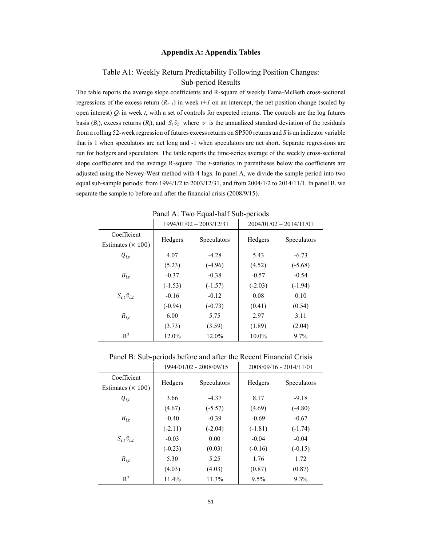#### **Appendix A: Appendix Tables**

# Table A1: Weekly Return Predictability Following Position Changes: Sub-period Results

The table reports the average slope coefficients and R-square of weekly Fama-McBeth cross-sectional regressions of the excess return  $(R_{t+1})$  in week  $t+1$  on an intercept, the net position change (scaled by open interest)  $Q_t$  in week  $t$ , with a set of controls for expected returns. The controls are the log futures basis ( $B_t$ ), excess returns ( $R_t$ ), and  $S_t \hat{v}_t$  where  $v$  is the annualized standard deviation of the residuals from a rolling 52-week regression of futures excess returns on SP500 returns and *S* is an indicator variable that is 1 when speculators are net long and -1 when speculators are net short. Separate regressions are run for hedgers and speculators. The table reports the time-series average of the weekly cross-sectional slope coefficients and the average R-square. The *t*-statistics in parentheses below the coefficients are adjusted using the Newey-West method with 4 lags. In panel A, we divide the sample period into two equal sub-sample periods: from  $1994/1/2$  to  $2003/12/31$ , and from  $2004/1/2$  to  $2014/11/1$ . In panel B, we separate the sample to before and after the financial crisis (2008/9/15).

|                                         |           | $1994/01/02 - 2003/12/31$ |           | $2004/01/02 - 2014/11/01$ |  |  |  |
|-----------------------------------------|-----------|---------------------------|-----------|---------------------------|--|--|--|
| Coefficient<br>Estimates $(\times 100)$ | Hedgers   | Speculators               | Hedgers   | Speculators               |  |  |  |
| $Q_{i,t}$                               | 4.07      | $-4.28$                   | 5.43      | $-6.73$                   |  |  |  |
|                                         | (5.23)    | $(-4.96)$                 | (4.52)    | $(-5.68)$                 |  |  |  |
| $B_{i,t}$                               | $-0.37$   | $-0.38$                   | $-0.57$   | $-0.54$                   |  |  |  |
|                                         | $(-1.53)$ | $(-1.57)$                 | $(-2.03)$ | $(-1.94)$                 |  |  |  |
| $S_{i,t} \hat{v}_{i,t}$                 | $-0.16$   | $-0.12$                   | 0.08      | 0.10                      |  |  |  |
|                                         | $(-0.94)$ | $(-0.73)$                 | (0.41)    | (0.54)                    |  |  |  |
| $R_{i,t}$                               | 6.00      | 5.75                      | 2.97      | 3.11                      |  |  |  |
|                                         | (3.73)    | (3.59)                    | (1.89)    | (2.04)                    |  |  |  |
| $R^2$                                   | 12.0%     | 12.0%                     | 10.0%     | $9.7\%$                   |  |  |  |

Panel A: Two Equal-half Sub-periods

Panel B: Sub-periods before and after the Recent Financial Crisis

|                                         |           | 1994/01/02 - 2008/09/15 | 2008/09/16 - 2014/11/01 |             |  |
|-----------------------------------------|-----------|-------------------------|-------------------------|-------------|--|
| Coefficient<br>Estimates $(\times 100)$ | Hedgers   | Speculators             | Hedgers                 | Speculators |  |
| $Q_{i,t}$                               | 3.66      | $-4.37$                 | 8.17                    | $-9.18$     |  |
|                                         | (4.67)    | $(-5.57)$               | (4.69)                  | $(-4.80)$   |  |
| $B_{i,t}$                               | $-0.40$   | $-0.39$                 | $-0.69$                 | $-0.67$     |  |
|                                         | $(-2.11)$ | $(-2.04)$               | $(-1.81)$               | $(-1.74)$   |  |
| $S_{i,t}\hat{v}_{i,t}$                  | $-0.03$   | 0.00                    | $-0.04$                 | $-0.04$     |  |
|                                         | $(-0.23)$ | (0.03)                  | $(-0.16)$               | $(-0.15)$   |  |
| $R_{i,t}$                               | 5.30      | 5.25                    | 1.76                    | 1.72        |  |
|                                         | (4.03)    | (4.03)                  | (0.87)                  | (0.87)      |  |
| $\mathbb{R}^2$                          | 11.4%     | 11.3%                   | $9.5\%$                 | 9.3%        |  |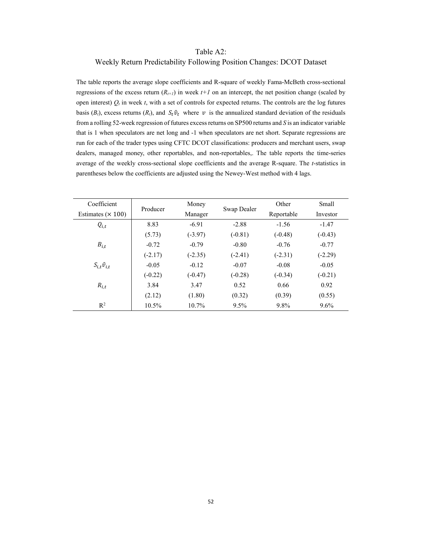# Table A2:

# Weekly Return Predictability Following Position Changes: DCOT Dataset

The table reports the average slope coefficients and R-square of weekly Fama-McBeth cross-sectional regressions of the excess return  $(R_{t+1})$  in week  $t+1$  on an intercept, the net position change (scaled by open interest)  $Q_t$  in week  $t$ , with a set of controls for expected returns. The controls are the log futures basis ( $B_t$ ), excess returns ( $R_t$ ), and  $S_t \hat{v}_t$  where  $v$  is the annualized standard deviation of the residuals from a rolling 52-week regression of futures excess returns on SP500 returns and *S* is an indicator variable that is 1 when speculators are net long and -1 when speculators are net short. Separate regressions are run for each of the trader types using CFTC DCOT classifications: producers and merchant users, swap dealers, managed money, other reportables, and non-reportables,. The table reports the time-series average of the weekly cross-sectional slope coefficients and the average R-square. The *t*-statistics in parentheses below the coefficients are adjusted using the Newey-West method with 4 lags.

| Coefficient              | Producer  | Money     | Swap Dealer | Other      | Small     |
|--------------------------|-----------|-----------|-------------|------------|-----------|
| Estimates $(\times 100)$ |           | Manager   |             | Reportable | Investor  |
| $Q_{i,t}$                | 8.83      | $-6.91$   | $-2.88$     | $-1.56$    | $-1.47$   |
|                          | (5.73)    | $(-3.97)$ | $(-0.81)$   | $(-0.48)$  | $(-0.43)$ |
| $B_{i.t}$                | $-0.72$   | $-0.79$   | $-0.80$     | $-0.76$    | $-0.77$   |
|                          | $(-2.17)$ | $(-2.35)$ | $(-2.41)$   | $(-2.31)$  | $(-2.29)$ |
| $S_{i,t}\hat{v}_{i,t}$   | $-0.05$   | $-0.12$   | $-0.07$     | $-0.08$    | $-0.05$   |
|                          | $(-0.22)$ | $(-0.47)$ | $(-0.28)$   | $(-0.34)$  | $(-0.21)$ |
| $R_{i.t}$                | 3.84      | 3.47      | 0.52        | 0.66       | 0.92      |
|                          | (2.12)    | (1.80)    | (0.32)      | (0.39)     | (0.55)    |
| $R^2$                    | 10.5%     | $10.7\%$  | 9.5%        | 9.8%       | $9.6\%$   |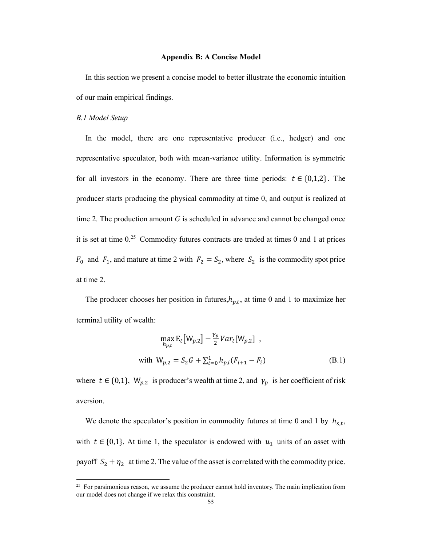#### **Appendix B: A Concise Model**

In this section we present a concise model to better illustrate the economic intuition of our main empirical findings.

#### *B.1 Model Setup*

In the model, there are one representative producer (i.e., hedger) and one representative speculator, both with mean-variance utility. Information is symmetric for all investors in the economy. There are three time periods:  $t \in \{0,1,2\}$ . The producer starts producing the physical commodity at time 0, and output is realized at time 2. The production amount *G* is scheduled in advance and cannot be changed once it is set at time 0.25 Commodity futures contracts are traded at times 0 and 1 at prices  $F_0$  and  $F_1$ , and mature at time 2 with  $F_2 = S_2$ , where  $S_2$  is the commodity spot price at time 2.

The producer chooses her position in futures, $h_{p,t}$ , at time 0 and 1 to maximize her terminal utility of wealth:

$$
\max_{h_{p,t}} \mathbf{E}_t \big[ W_{p,2} \big] - \frac{\gamma_p}{2} Var_t[W_{p,2}] ,
$$
  
with  $W_{p,2} = S_2 G + \sum_{i=0}^{1} h_{p,i}(F_{i+1} - F_i)$  (B.1)

where  $t \in \{0,1\}$ ,  $W_{p,2}$  is producer's wealth at time 2, and  $\gamma_p$  is her coefficient of risk aversion.

We denote the speculator's position in commodity futures at time 0 and 1 by  $h_{s,t}$ , with  $t \in \{0,1\}$ . At time 1, the speculator is endowed with  $u_1$  units of an asset with payoff  $S_2 + \eta_2$  at time 2. The value of the asset is correlated with the commodity price.

<sup>&</sup>lt;sup>25</sup> For parsimonious reason, we assume the producer cannot hold inventory. The main implication from our model does not change if we relax this constraint.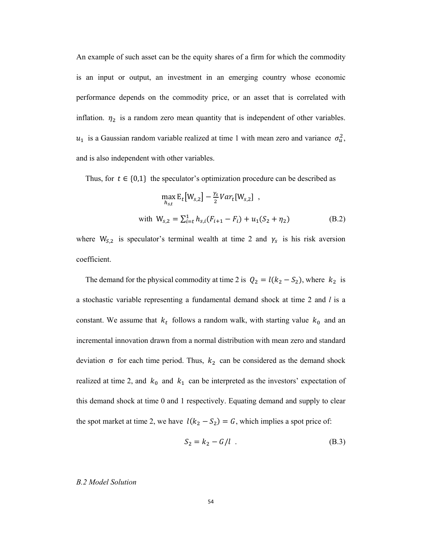An example of such asset can be the equity shares of a firm for which the commodity is an input or output, an investment in an emerging country whose economic performance depends on the commodity price, or an asset that is correlated with inflation.  $\eta_2$  is a random zero mean quantity that is independent of other variables.  $u_1$  is a Gaussian random variable realized at time 1 with mean zero and variance  $\sigma_u^2$ , and is also independent with other variables.

Thus, for  $t \in \{0,1\}$  the speculator's optimization procedure can be described as

$$
\max_{h_{s,t}} \mathbf{E}_t \big[ W_{s,2} \big] - \frac{\gamma_s}{2} Var_t [W_{s,2}] ,
$$
  
with  $W_{s,2} = \sum_{i=t}^{1} h_{s,i} (F_{i+1} - F_i) + u_1 (S_2 + \eta_2)$  (B.2)

where  $W_{S,2}$  is speculator's terminal wealth at time 2 and  $\gamma_s$  is his risk aversion coefficient.

The demand for the physical commodity at time 2 is  $Q_2 = l(k_2 - S_2)$ , where  $k_2$  is a stochastic variable representing a fundamental demand shock at time 2 and *l* is a constant. We assume that  $k_t$  follows a random walk, with starting value  $k_0$  and an incremental innovation drawn from a normal distribution with mean zero and standard deviation  $\sigma$  for each time period. Thus,  $k_2$  can be considered as the demand shock realized at time 2, and  $k_0$  and  $k_1$  can be interpreted as the investors' expectation of this demand shock at time 0 and 1 respectively. Equating demand and supply to clear the spot market at time 2, we have  $l(k_2 - S_2) = G$ , which implies a spot price of:

$$
S_2 = k_2 - G/l \tag{B.3}
$$

*B.2 Model Solution*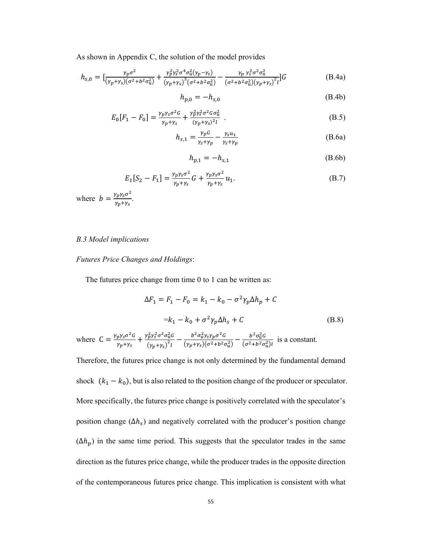As shown in Appendix C, the solution of the model provides

$$
h_{s,0} = \left[\frac{\gamma_p \sigma^2}{(\gamma_p + \gamma_s)(\sigma^2 + b^2 \sigma_u^2)} + \frac{\gamma_p^2 \gamma_s^2 \sigma^4 \sigma_u^2 (\gamma_p - \gamma_s)}{(\gamma_p + \gamma_s)^3 (\sigma^2 + b^2 \sigma_u^2)} - \frac{\gamma_p \gamma_s^2 \sigma^2 \sigma_u^2}{(\sigma^2 + b^2 \sigma_u^2)(\gamma_p + \gamma_s)^2 l}\right] G
$$
(B.4a)

$$
h_{p,0} = -h_{s,0} \tag{B.4b}
$$

$$
E_0[F_1 - F_0] = \frac{\gamma_p \gamma_s \sigma^2 G}{\gamma_p + \gamma_s} + \frac{\gamma_p^2 \gamma_s^2 \sigma^2 G \sigma_u^2}{(\gamma_p + \gamma_s)^2 l} \ . \tag{B.5}
$$

$$
h_{s,1} = \frac{\gamma_p G}{\gamma_s + \gamma_p} - \frac{\gamma_s u_1}{\gamma_s + \gamma_p} \tag{B.6a}
$$

$$
h_{p,1} = -h_{s,1} \tag{B.6b}
$$

$$
E_1[S_2 - F_1] = \frac{\gamma_p \gamma_s \sigma^2}{\gamma_p + \gamma_s} G + \frac{\gamma_p \gamma_s \sigma^2}{\gamma_p + \gamma_s} u_1.
$$
 (B.7)

where  $b = \frac{\gamma_p \gamma_s \sigma^2}{\gamma_p + \gamma_s}$ .

# *B.3 Model implications*

*Futures Price Changes and Holdings*:

The futures price change from time 0 to 1 can be written as:

$$
\Delta F_1 = F_1 - F_0 = k_1 - k_0 - \sigma^2 \gamma_p \Delta h_p + C
$$
  
=  $k_1 - k_0 + \sigma^2 \gamma_p \Delta h_s + C$  (B.8)

where  $C = \frac{\gamma_p \gamma_s \sigma^2 G}{\gamma_p + \gamma_s} + \frac{\gamma_p^2 \gamma_s^2 \sigma^2 \sigma_u^2 G}{(\gamma_n + \gamma_s)^2 l}$  $\frac{g_p^2 \gamma_s^2 \sigma^2 \sigma_u^2 G}{\left(\gamma_p + \gamma_s\right)^2 l} - \frac{b^2 \sigma_u^2 \gamma_s \gamma_p \sigma^2 G}{\left(\gamma_p + \gamma_s\right) \left(\sigma^2 + b^2 \sigma_u^2\right)}$  $\frac{b^2\sigma_u^2\gamma_S\gamma_p\sigma^2G}{(\gamma_p+\gamma_S)(\sigma^2+b^2\sigma_u^2)} - \frac{b^2\sigma_u^2G}{(\sigma^2+b^2\sigma_u^2)}$  $\frac{b^{\theta} \partial u^{\theta}}{(\sigma^2 + b^2 \sigma_u^2) l}$  is a constant.

Therefore, the futures price change is not only determined by the fundamental demand shock  $(k_1 - k_0)$ , but is also related to the position change of the producer or speculator. More specifically, the futures price change is positively correlated with the speculator's position change  $(\Delta h_s)$  and negatively correlated with the producer's position change  $(\Delta h_p)$  in the same time period. This suggests that the speculator trades in the same direction as the futures price change, while the producer trades in the opposite direction of the contemporaneous futures price change. This implication is consistent with what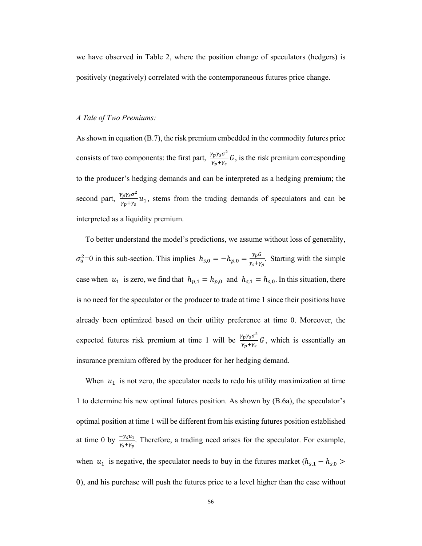we have observed in Table 2, where the position change of speculators (hedgers) is positively (negatively) correlated with the contemporaneous futures price change.

# *A Tale of Two Premiums:*

As shown in equation (B.7), the risk premium embedded in the commodity futures price consists of two components: the first part,  $\frac{\gamma_p \gamma_s \sigma^2}{\gamma_p + \gamma_s} G$ , is the risk premium corresponding to the producer's hedging demands and can be interpreted as a hedging premium; the second part,  $\frac{\gamma_p \gamma_s \sigma^2}{\gamma_p + \gamma_s} u_1$ , stems from the trading demands of speculators and can be interpreted as a liquidity premium.

To better understand the model's predictions, we assume without loss of generality,  $\sigma_u^2$ =0 in this sub-section. This implies  $h_{s,0} = -h_{p,0} = \frac{\gamma_p G}{\gamma_s + \gamma_p}$ . Starting with the simple case when  $u_1$  is zero, we find that  $h_{p,1} = h_{p,0}$  and  $h_{s,1} = h_{s,0}$ . In this situation, there is no need for the speculator or the producer to trade at time 1 since their positions have already been optimized based on their utility preference at time 0. Moreover, the expected futures risk premium at time 1 will be  $\frac{\gamma_p \gamma_s \sigma^2}{\gamma_p + \gamma_s} G$ , which is essentially an insurance premium offered by the producer for her hedging demand.

When  $u_1$  is not zero, the speculator needs to redo his utility maximization at time 1 to determine his new optimal futures position. As shown by (B.6a), the speculator's optimal position at time 1 will be different from his existing futures position established at time 0 by  $\frac{-\gamma_s u_1}{\gamma_s + \gamma_p}$ . Therefore, a trading need arises for the speculator. For example, when  $u_1$  is negative, the speculator needs to buy in the futures market ( $h_{s,1} - h_{s,0}$ ) 0), and his purchase will push the futures price to a level higher than the case without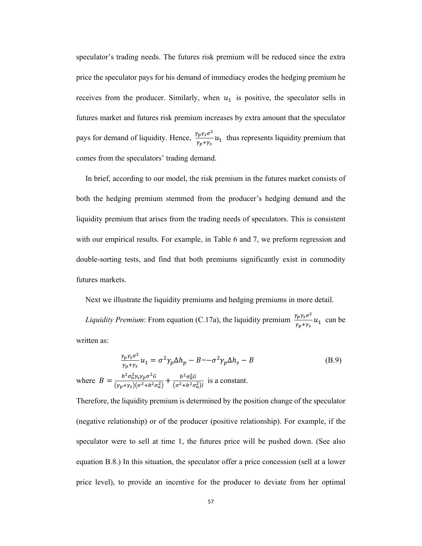speculator's trading needs. The futures risk premium will be reduced since the extra price the speculator pays for his demand of immediacy erodes the hedging premium he receives from the producer. Similarly, when  $u_1$  is positive, the speculator sells in futures market and futures risk premium increases by extra amount that the speculator pays for demand of liquidity. Hence,  $\frac{\gamma_p \gamma_s \sigma^2}{\gamma_p + \gamma_s} u_1$  thus represents liquidity premium that comes from the speculators' trading demand.

In brief, according to our model, the risk premium in the futures market consists of both the hedging premium stemmed from the producer's hedging demand and the liquidity premium that arises from the trading needs of speculators. This is consistent with our empirical results. For example, in Table 6 and 7, we preform regression and double-sorting tests, and find that both premiums significantly exist in commodity futures markets.

Next we illustrate the liquidity premiums and hedging premiums in more detail.

*Liquidity Premium*: From equation (C.17a), the liquidity premium  $\frac{\gamma_p \gamma_s \sigma^2}{\gamma_p + \gamma_s} u_1$  can be written as:

$$
\frac{\gamma_p \gamma_s \sigma^2}{\gamma_p + \gamma_s} u_1 = \sigma^2 \gamma_p \Delta h_p - B = -\sigma^2 \gamma_p \Delta h_s - B
$$
\n(B.9)

\nwhere 
$$
B = \frac{b^2 \sigma_u^2 \gamma_s \gamma_p \sigma^2 G}{(\gamma_p + \gamma_s)(\sigma^2 + \sigma^2 \sigma_u^2)} + \frac{b^2 \sigma_u^2 G}{(\sigma^2 + \sigma^2 \sigma_u^2) l}
$$
 is a constant.

Therefore, the liquidity premium is determined by the position change of the speculator (negative relationship) or of the producer (positive relationship). For example, if the speculator were to sell at time 1, the futures price will be pushed down. (See also equation B.8.) In this situation, the speculator offer a price concession (sell at a lower price level), to provide an incentive for the producer to deviate from her optimal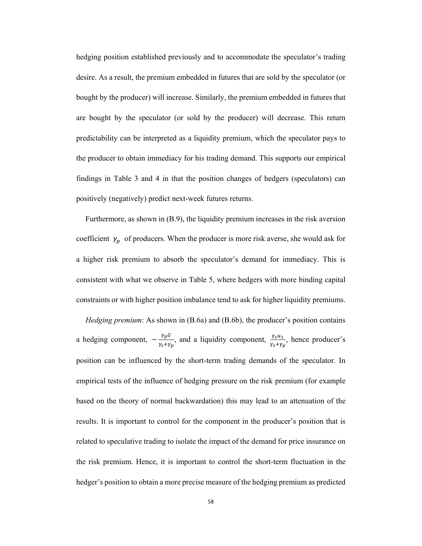hedging position established previously and to accommodate the speculator's trading desire. As a result, the premium embedded in futures that are sold by the speculator (or bought by the producer) will increase. Similarly, the premium embedded in futures that are bought by the speculator (or sold by the producer) will decrease. This return predictability can be interpreted as a liquidity premium, which the speculator pays to the producer to obtain immediacy for his trading demand. This supports our empirical findings in Table 3 and 4 in that the position changes of hedgers (speculators) can positively (negatively) predict next-week futures returns.

Furthermore, as shown in (B.9), the liquidity premium increases in the risk aversion coefficient  $\gamma_p$  of producers. When the producer is more risk averse, she would ask for a higher risk premium to absorb the speculator's demand for immediacy. This is consistent with what we observe in Table 5, where hedgers with more binding capital constraints or with higher position imbalance tend to ask for higher liquidity premiums.

*Hedging premium*: As shown in (B.6a) and (B.6b), the producer's position contains a hedging component,  $-\frac{\gamma_p G}{\gamma_s+\gamma_p}$ , and a liquidity component,  $\frac{\gamma_s u_1}{\gamma_s+\gamma_p}$ , hence producer's position can be influenced by the short-term trading demands of the speculator. In empirical tests of the influence of hedging pressure on the risk premium (for example based on the theory of normal backwardation) this may lead to an attenuation of the results. It is important to control for the component in the producer's position that is related to speculative trading to isolate the impact of the demand for price insurance on the risk premium. Hence, it is important to control the short-term fluctuation in the hedger's position to obtain a more precise measure of the hedging premium as predicted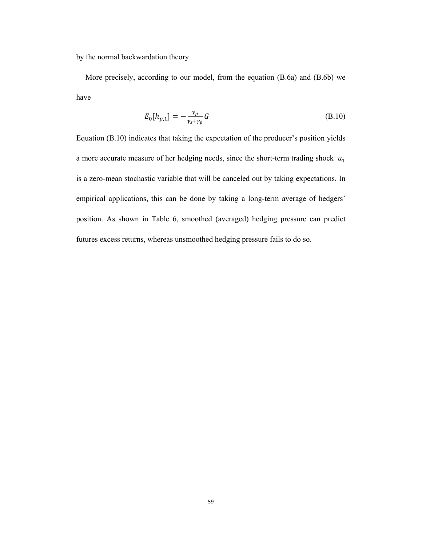by the normal backwardation theory.

More precisely, according to our model, from the equation (B.6a) and (B.6b) we have

$$
E_0[h_{p,1}] = -\frac{\gamma_p}{\gamma_s + \gamma_p} G \tag{B.10}
$$

Equation (B.10) indicates that taking the expectation of the producer's position yields a more accurate measure of her hedging needs, since the short-term trading shock  $u_1$ is a zero-mean stochastic variable that will be canceled out by taking expectations. In empirical applications, this can be done by taking a long-term average of hedgers' position. As shown in Table 6, smoothed (averaged) hedging pressure can predict futures excess returns, whereas unsmoothed hedging pressure fails to do so.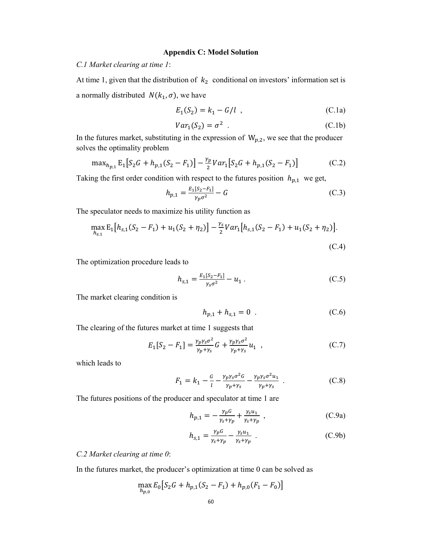#### **Appendix C: Model Solution**

*C.1 Market clearing at time 1*:

At time 1, given that the distribution of  $k_2$  conditional on investors' information set is a normally distributed  $N(k_1, \sigma)$ , we have

$$
E_1(S_2) = k_1 - G/l \t\t(C.1a)
$$

$$
Var_1(S_2) = \sigma^2
$$
 (C.1b)

In the futures market, substituting in the expression of  $W_{p,2}$ , we see that the producer solves the optimality problem

$$
\max_{h_{p,1}} \mathbb{E}_1 \big[ S_2 G + h_{p,1} (S_2 - F_1) \big] - \frac{\gamma_p}{2} \text{Var}_1 \big[ S_2 G + h_{p,1} (S_2 - F_1) \big] \tag{C.2}
$$

Taking the first order condition with respect to the futures position  $h_{p,1}$  we get,

$$
h_{p,1} = \frac{E_1[S_2 - F_1]}{\gamma_p \sigma^2} - G \tag{C.3}
$$

The speculator needs to maximize his utility function as

$$
\max_{h_{S,1}} \mathbb{E}_1[h_{S,1}(S_2 - F_1) + u_1(S_2 + \eta_2)] - \frac{\gamma_S}{2}Var_1[h_{S,1}(S_2 - F_1) + u_1(S_2 + \eta_2)].
$$
\n(C.4)

The optimization procedure leads to

$$
h_{s,1} = \frac{E_1[S_2 - F_1]}{\gamma_s \sigma^2} - u_1 \tag{C.5}
$$

The market clearing condition is

$$
h_{p,1} + h_{s,1} = 0 \tag{C.6}
$$

The clearing of the futures market at time 1 suggests that

$$
E_1[S_2 - F_1] = \frac{\gamma_p \gamma_s \sigma^2}{\gamma_p + \gamma_s} G + \frac{\gamma_p \gamma_s \sigma^2}{\gamma_p + \gamma_s} u_1 \quad , \tag{C.7}
$$

which leads to

$$
F_1 = k_1 - \frac{G}{l} - \frac{\gamma_p \gamma_s \sigma^2 G}{\gamma_p + \gamma_s} - \frac{\gamma_p \gamma_s \sigma^2 u_1}{\gamma_p + \gamma_s} \ . \tag{C.8}
$$

The futures positions of the producer and speculator at time 1 are

$$
h_{p,1} = -\frac{\gamma_p G}{\gamma_s + \gamma_p} + \frac{\gamma_s u_1}{\gamma_s + \gamma_p} \tag{C.9a}
$$

$$
h_{s,1} = \frac{\gamma_p G}{\gamma_s + \gamma_p} - \frac{\gamma_s u_1}{\gamma_s + \gamma_p} \tag{C.9b}
$$

*C.2 Market clearing at time 0*:

In the futures market, the producer's optimization at time 0 can be solved as

$$
\max_{h_{p,0}} E_0 \big[ S_2 G + h_{p,1} (S_2 - F_1) + h_{p,0} (F_1 - F_0) \big]
$$